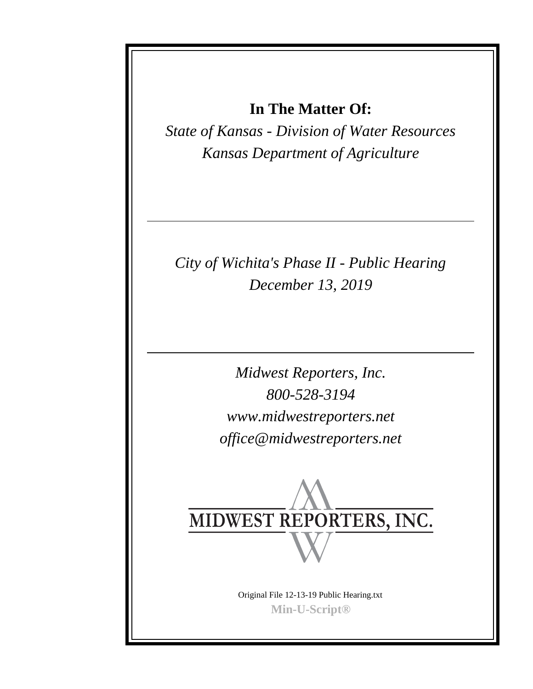**In The Matter Of:**

*State of Kansas - Division of Water Resources Kansas Department of Agriculture*

*City of Wichita's Phase II - Public Hearing December 13, 2019*

> *Midwest Reporters, Inc. 800-528-3194 www.midwestreporters.net office@midwestreporters.net*



Original File 12-13-19 Public Hearing.txt **Min-U-Script®**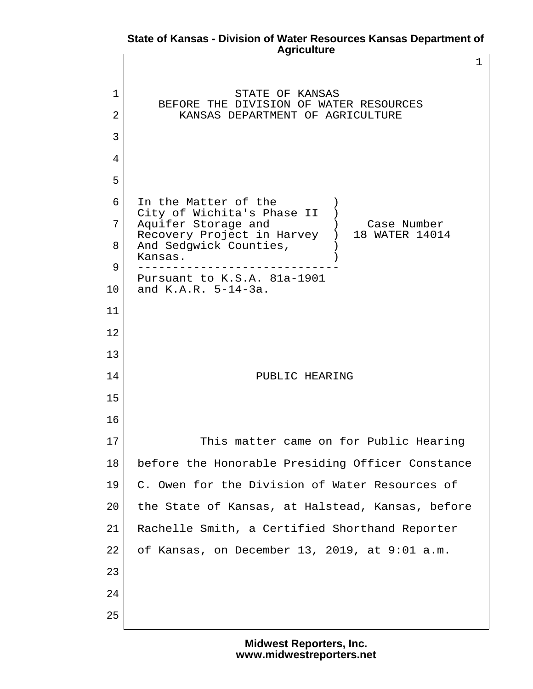## **State of Kansas - Division of Water Resources Kansas Department of Agriculture**

1 1 STATE OF KANSAS BEFORE THE DIVISION OF WATER RESOURCES 2 KANSAS DEPARTMENT OF AGRICULTURE 3 4  $5 \mid$  6 In the Matter of the ) City of Wichita's Phase II )<br>Aquifer Storage and (a) Case Number 7 Aquifer Storage and (1) Case Number Recovery Project in Harvey ) 18 WATER 14014 8 And Sedgwick Counties, Kansas. 9 ----------------------------- Pursuant to K.S.A. 81a-1901 10 and K.A.R. 5-14-3a. 11 12 13 14 PUBLIC HEARING 15 16 17 This matter came on for Public Hearing 18 before the Honorable Presiding Officer Constance 19 C. Owen for the Division of Water Resources of 20 the State of Kansas, at Halstead, Kansas, before 21 | Rachelle Smith, a Certified Shorthand Reporter  $22$  of Kansas, on December 13, 2019, at 9:01 a.m. 23 24 25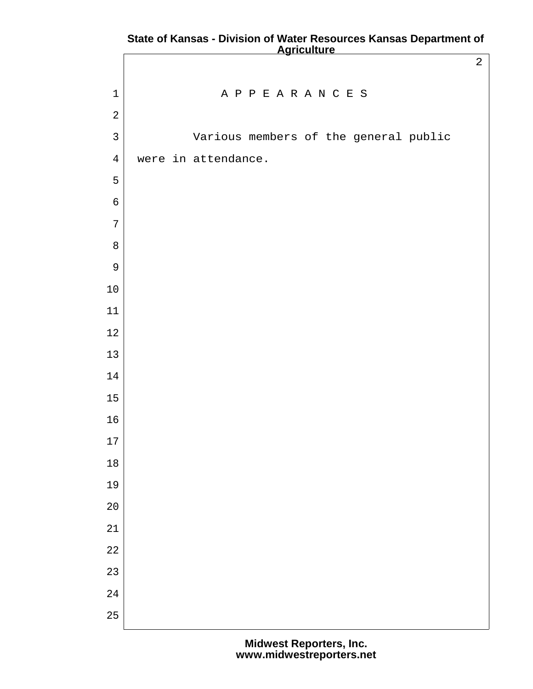|                | <b>Report Contract</b>                |                |
|----------------|---------------------------------------|----------------|
|                |                                       | $\overline{2}$ |
| $\mathbf 1$    | APPEARANCES                           |                |
| $\sqrt{2}$     |                                       |                |
| $\mathsf{3}$   | Various members of the general public |                |
| $\overline{4}$ | were in attendance.                   |                |
| 5              |                                       |                |
| $\epsilon$     |                                       |                |
| $\overline{7}$ |                                       |                |
| $\, 8$         |                                       |                |
| $\mathsf 9$    |                                       |                |
| $10\,$         |                                       |                |
| $11\,$         |                                       |                |
| $12\,$         |                                       |                |
| $13\,$         |                                       |                |
| 14             |                                       |                |
| 15             |                                       |                |
| 16             |                                       |                |
| $17\,$         |                                       |                |
| $18\,$         |                                       |                |
| 19             |                                       |                |
| 20             |                                       |                |
| 21             |                                       |                |
| $2\sqrt{2}$    |                                       |                |
| 23             |                                       |                |
| 24             |                                       |                |
| 25             |                                       |                |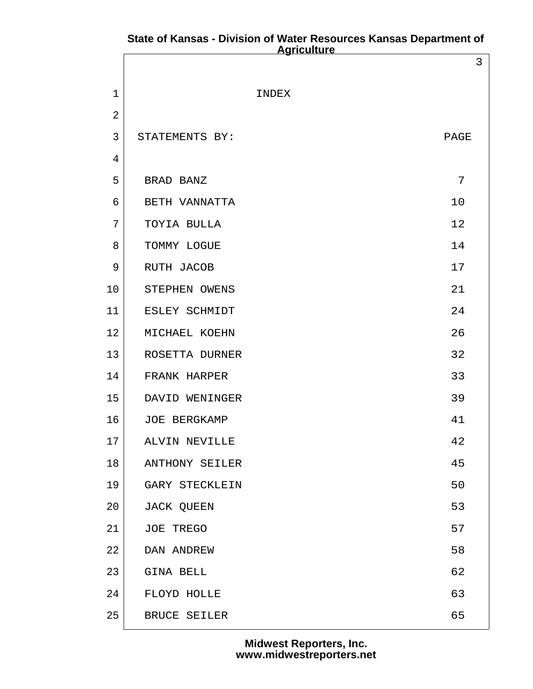## **State of Kansas - Division of Water Resources Kansas Department of Agriculture**

|                |                       | 3              |
|----------------|-----------------------|----------------|
| $\mathbf{1}$   | INDEX                 |                |
| $\overline{2}$ |                       |                |
| $\mathfrak{Z}$ | STATEMENTS BY:        | PAGE           |
| 4              |                       |                |
| 5              | BRAD BANZ             | $\overline{7}$ |
| 6              | BETH VANNATTA         | 10             |
| 7              | TOYIA BULLA           | 12             |
| 8              | TOMMY LOGUE           | 14             |
| 9              | RUTH JACOB            | 17             |
| 10             | STEPHEN OWENS         | 21             |
| 11             | ESLEY SCHMIDT         | 24             |
| 12             | MICHAEL KOEHN         | 26             |
| 13             | ROSETTA DURNER        | 32             |
| 14             | FRANK HARPER          | 33             |
| 15             | DAVID WENINGER        | 39             |
| 16             | JOE BERGKAMP          | 41             |
| 17             | ALVIN NEVILLE         | 42             |
| 18             | <b>ANTHONY SEILER</b> | 45             |
| 19             | GARY STECKLEIN        | 50             |
| 20             | JACK QUEEN            | 53             |
| 21             | JOE TREGO             | 57             |
| 22             | DAN ANDREW            | 58             |
| 23             | GINA BELL             | 62             |
| 24             | FLOYD HOLLE           | 63             |
| 25             | BRUCE SEILER          | 65             |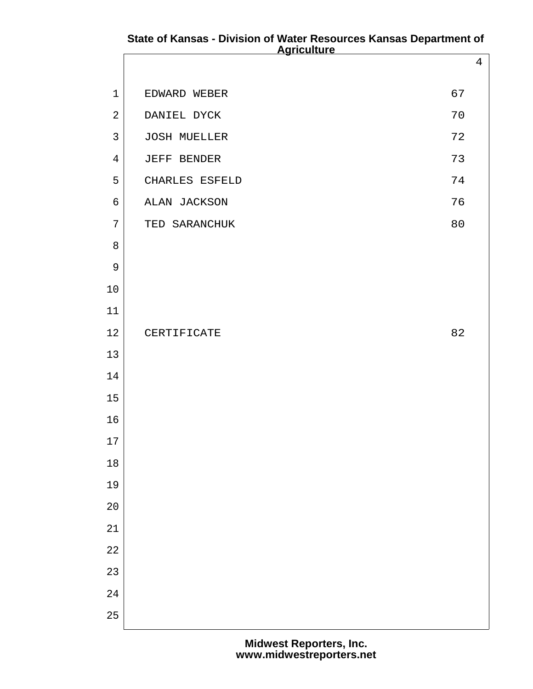# **State of Kansas - Division of Water Resources Kansas Department of Agriculture**

|                | <b>Aylıvululu</b>   |                |
|----------------|---------------------|----------------|
|                |                     | $\overline{4}$ |
| $1\,$          | EDWARD WEBER        | 67             |
| $\overline{2}$ | DANIEL DYCK         | 70             |
| $\mathsf{3}$   | <b>JOSH MUELLER</b> | 72             |
| $\overline{4}$ | JEFF BENDER         | 73             |
| 5              | CHARLES ESFELD      | 74             |
| 6              | ALAN JACKSON        | 76             |
| $\overline{7}$ | TED SARANCHUK       | 80             |
| $8\,$          |                     |                |
| $\mathsf 9$    |                     |                |
| 10             |                     |                |
| 11             |                     |                |
| 12             | CERTIFICATE         | 82             |
| $13\,$         |                     |                |
| 14             |                     |                |
| 15             |                     |                |
| 16             |                     |                |
| $17\,$         |                     |                |
| 18             |                     |                |
| 19             |                     |                |
| 20             |                     |                |
| 21             |                     |                |
| 22             |                     |                |
| 23             |                     |                |
| 24             |                     |                |
| 25             |                     |                |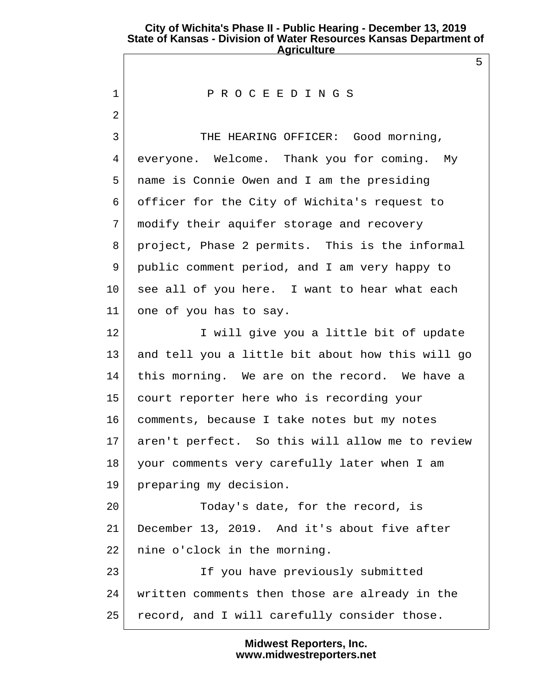5

#### 1 P R O C E E D I N G S

 $2 \mid$ 

3 THE HEARING OFFICER: Good morning, 4 everyone. Welcome. Thank you for coming. My 5 name is Connie Owen and I am the presiding 6 officer for the City of Wichita's request to 7 modify their aquifer storage and recovery 8 project, Phase 2 permits. This is the informal 9 public comment period, and I am very happy to 10 see all of you here. I want to hear what each 11 one of you has to say.

12 I will give you a little bit of update 13 and tell you a little bit about how this will go 14 this morning. We are on the record. We have a 15 court reporter here who is recording your 16 comments, because I take notes but my notes 17 aren't perfect. So this will allow me to review 18 your comments very carefully later when I am 19 preparing my decision.

20 Today's date, for the record, is 21 December 13, 2019. And it's about five after 22 | nine o'clock in the morning.

23 If you have previously submitted 24 written comments then those are already in the 25 record, and I will carefully consider those.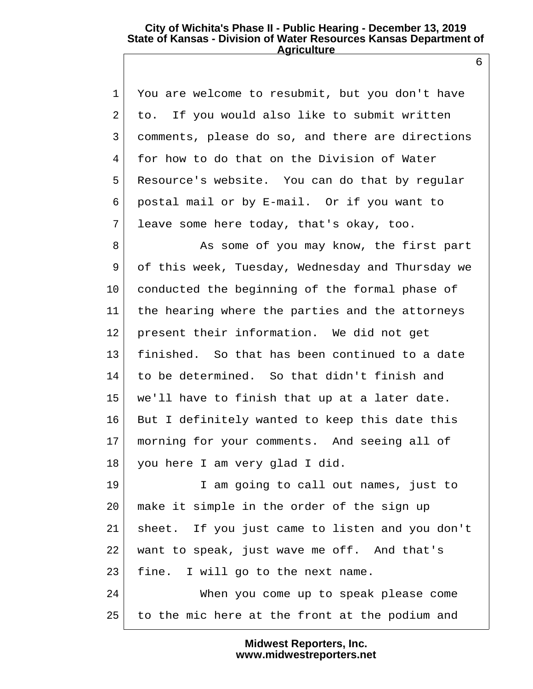1 You are welcome to resubmit, but you don't have 2 to. If you would also like to submit written 3 comments, please do so, and there are directions 4 for how to do that on the Division of Water 5 Resource's website. You can do that by regular 6 postal mail or by E-mail. Or if you want to 7 leave some here today, that's okay, too.

8 As some of you may know, the first part 9 of this week, Tuesday, Wednesday and Thursday we 10 conducted the beginning of the formal phase of 11 the hearing where the parties and the attorneys 12 present their information. We did not get 13 finished. So that has been continued to a date 14 to be determined. So that didn't finish and 15 we'll have to finish that up at a later date. 16 But I definitely wanted to keep this date this 17 morning for your comments. And seeing all of 18 you here I am very glad I did.

19 I am going to call out names, just to 20 make it simple in the order of the sign up 21 sheet. If you just came to listen and you don't 22 want to speak, just wave me off. And that's 23 fine. I will go to the next name. 24 When you come up to speak please come 25 to the mic here at the front at the podium and

> **Midwest Reporters, Inc. www.midwestreporters.net**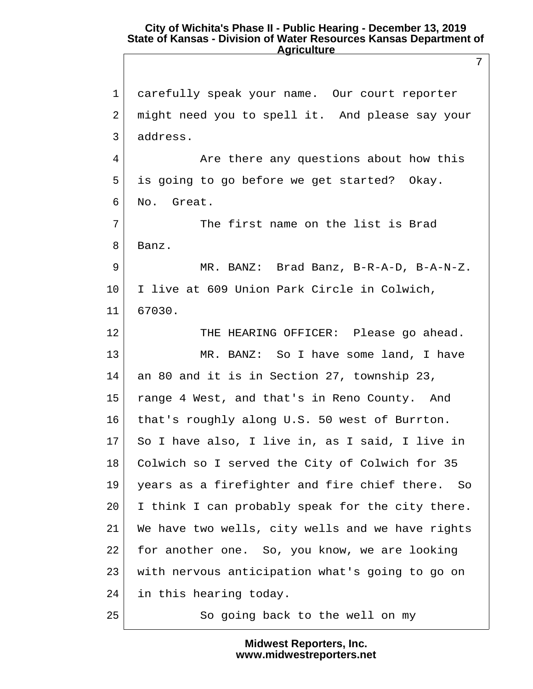7 1 carefully speak your name. Our court reporter 2 might need you to spell it. And please say your 3 address. 4 Are there any questions about how this 5 is going to go before we get started? Okay. 6 No. Great. 7 The first name on the list is Brad 8 Banz. 9 MR. BANZ: Brad Banz, B-R-A-D, B-A-N-Z. 10 I live at 609 Union Park Circle in Colwich, 11 67030. 12 THE HEARING OFFICER: Please go ahead. 13 MR. BANZ: So I have some land, I have 14 an 80 and it is in Section 27, township 23, 15 | range 4 West, and that's in Reno County. And 16 that's roughly along U.S. 50 west of Burrton. 17 So I have also, I live in, as I said, I live in 18 Colwich so I served the City of Colwich for 35 19 years as a firefighter and fire chief there. So 20 I think I can probably speak for the city there. 21 We have two wells, city wells and we have rights 22 for another one. So, you know, we are looking 23 with nervous anticipation what's going to go on 24 in this hearing today. 25 So going back to the well on my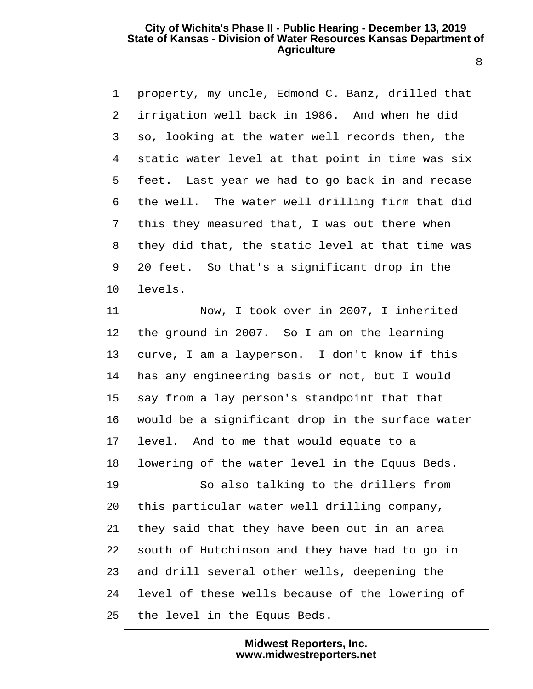1 property, my uncle, Edmond C. Banz, drilled that 2 irrigation well back in 1986. And when he did  $3|$  so, looking at the water well records then, the 4 static water level at that point in time was six 5 feet. Last year we had to go back in and recase 6 the well. The water well drilling firm that did 7 this they measured that, I was out there when 8 they did that, the static level at that time was 9 20 feet. So that's a significant drop in the 10 levels.

11 Now, I took over in 2007, I inherited 12 the ground in 2007. So I am on the learning 13 curve, I am a layperson. I don't know if this 14 has any engineering basis or not, but I would 15 say from a lay person's standpoint that that 16 would be a significant drop in the surface water 17 level. And to me that would equate to a 18 lowering of the water level in the Equus Beds.

19 So also talking to the drillers from 20 this particular water well drilling company, 21 they said that they have been out in an area 22 south of Hutchinson and they have had to go in 23 and drill several other wells, deepening the 24 level of these wells because of the lowering of 25 the level in the Equus Beds.

> **Midwest Reporters, Inc. www.midwestreporters.net**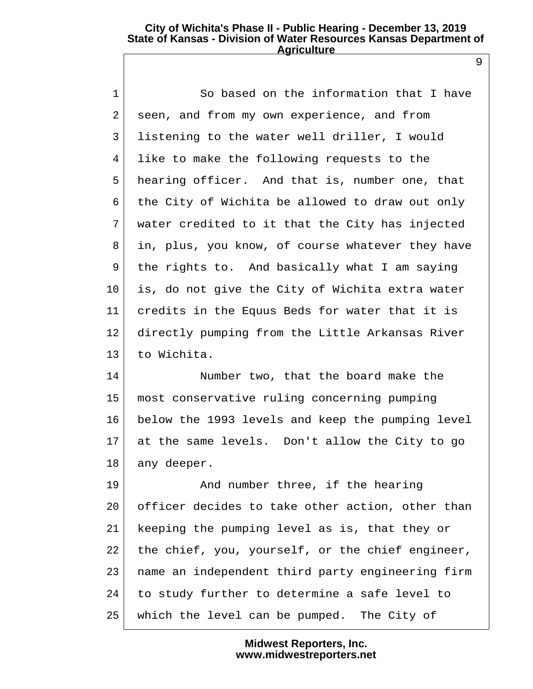9

 1 So based on the information that I have 2 seen, and from my own experience, and from 3 listening to the water well driller, I would 4 like to make the following requests to the 5 hearing officer. And that is, number one, that 6 the City of Wichita be allowed to draw out only 7 water credited to it that the City has injected 8 in, plus, you know, of course whatever they have 9 the rights to. And basically what I am saying 10 is, do not give the City of Wichita extra water 11 credits in the Equus Beds for water that it is 12 directly pumping from the Little Arkansas River 13 to Wichita.

14 Number two, that the board make the 15 most conservative ruling concerning pumping 16 below the 1993 levels and keep the pumping level 17 at the same levels. Don't allow the City to go 18 any deeper.

19 And number three, if the hearing 20 officer decides to take other action, other than 21 keeping the pumping level as is, that they or 22 the chief, you, yourself, or the chief engineer, 23 name an independent third party engineering firm 24 to study further to determine a safe level to 25 which the level can be pumped. The City of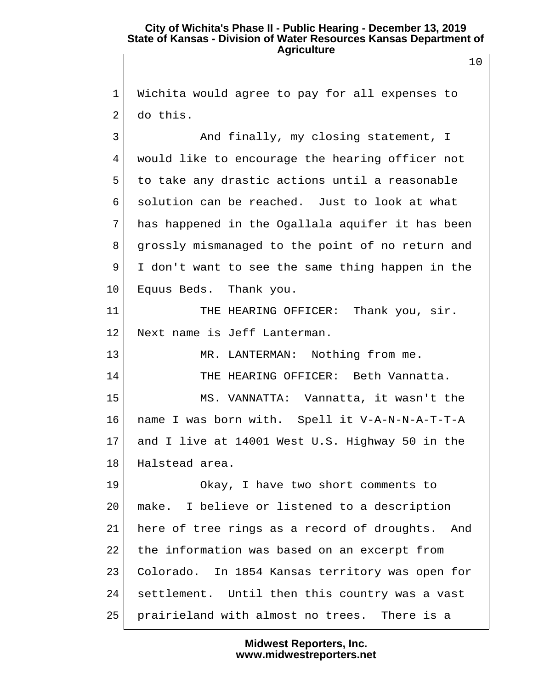1 Wichita would agree to pay for all expenses to  $2<sup>1</sup>$  do this.

3 And finally, my closing statement, I 4 would like to encourage the hearing officer not 5 to take any drastic actions until a reasonable 6 solution can be reached. Just to look at what 7 has happened in the Ogallala aquifer it has been 8 grossly mismanaged to the point of no return and  $9$  I don't want to see the same thing happen in the 10 Equus Beds. Thank you.

11 THE HEARING OFFICER: Thank you, sir. 12 Next name is Jeff Lanterman.

13 | MR. LANTERMAN: Nothing from me. 14 THE HEARING OFFICER: Beth Vannatta.

15 MS. VANNATTA: Vannatta, it wasn't the 16 name I was born with. Spell it V-A-N-N-A-T-T-A 17 and I live at 14001 West U.S. Highway 50 in the 18 Halstead area.

19 | Okay, I have two short comments to 20 make. I believe or listened to a description 21 here of tree rings as a record of droughts. And 22 the information was based on an excerpt from 23 Colorado. In 1854 Kansas territory was open for 24 settlement. Until then this country was a vast 25 prairieland with almost no trees. There is a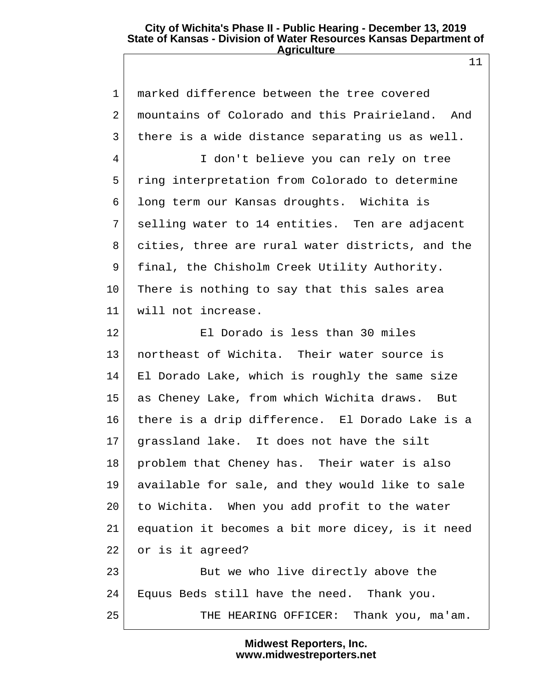11

1 | marked difference between the tree covered 2 mountains of Colorado and this Prairieland. And  $3$  there is a wide distance separating us as well. 4 I don't believe you can rely on tree 5 ring interpretation from Colorado to determine 6 long term our Kansas droughts. Wichita is 7 selling water to 14 entities. Ten are adjacent 8 cities, three are rural water districts, and the 9 final, the Chisholm Creek Utility Authority. 10 There is nothing to say that this sales area 11 will not increase. 12 El Dorado is less than 30 miles 13 northeast of Wichita. Their water source is 14 El Dorado Lake, which is roughly the same size 15 as Cheney Lake, from which Wichita draws. But 16 there is a drip difference. El Dorado Lake is a 17 grassland lake. It does not have the silt 18 | problem that Cheney has. Their water is also 19 available for sale, and they would like to sale 20 to Wichita. When you add profit to the water 21 equation it becomes a bit more dicey, is it need 22 or is it agreed? 23 But we who live directly above the 24 Equus Beds still have the need. Thank you. 25 THE HEARING OFFICER: Thank you, ma'am.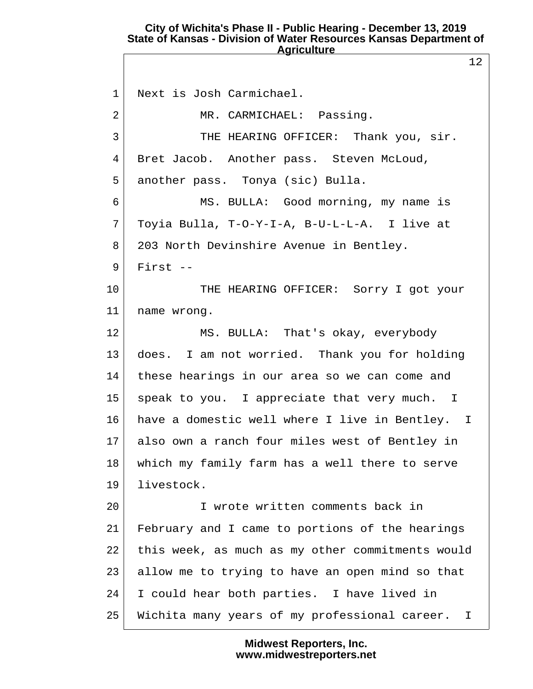12

 1 Next is Josh Carmichael. 2 MR. CARMICHAEL: Passing. 3 THE HEARING OFFICER: Thank you, sir. 4 Bret Jacob. Another pass. Steven McLoud, 5 another pass. Tonya (sic) Bulla. 6 MS. BULLA: Good morning, my name is 7 Toyia Bulla, T-O-Y-I-A, B-U-L-L-A. I live at 8 203 North Devinshire Avenue in Bentley.  $9$  First  $-$ 10 THE HEARING OFFICER: Sorry I got your 11 name wrong. 12 MS. BULLA: That's okay, everybody 13 does. I am not worried. Thank you for holding 14 these hearings in our area so we can come and 15 speak to you. I appreciate that very much. I 16 have a domestic well where I live in Bentley. I 17 also own a ranch four miles west of Bentley in 18 which my family farm has a well there to serve 19 livestock. 20 I wrote written comments back in 21 February and I came to portions of the hearings 22 this week, as much as my other commitments would 23 allow me to trying to have an open mind so that 24 I could hear both parties. I have lived in 25 Wichita many years of my professional career. I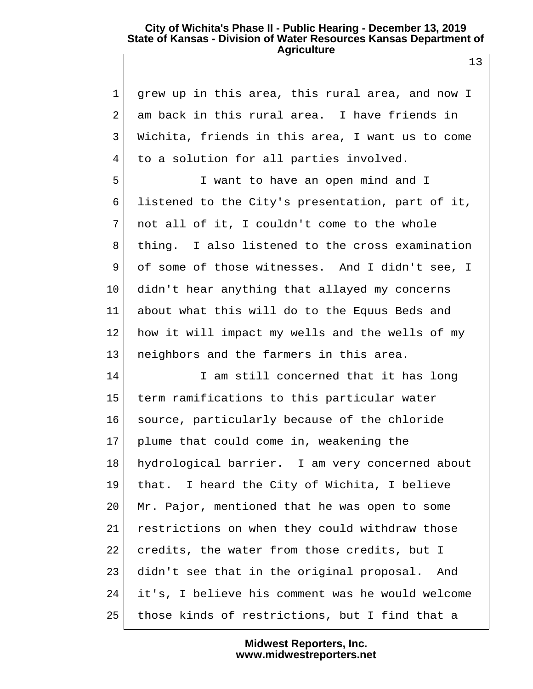13

| $\mathbf{1}$   | grew up in this area, this rural area, and now I |
|----------------|--------------------------------------------------|
| $\overline{2}$ | am back in this rural area. I have friends in    |
| 3              | Wichita, friends in this area, I want us to come |
| 4              | to a solution for all parties involved.          |
| 5              | I want to have an open mind and I                |
| 6              | listened to the City's presentation, part of it, |
| 7              | not all of it, I couldn't come to the whole      |
| 8              | thing. I also listened to the cross examination  |
| 9              | of some of those witnesses. And I didn't see, I  |
| $10 \,$        | didn't hear anything that allayed my concerns    |
| 11             | about what this will do to the Equus Beds and    |
| 12             | how it will impact my wells and the wells of my  |
| 13             | neighbors and the farmers in this area.          |
| 14             | I am still concerned that it has long            |
| 15             | term ramifications to this particular water      |
| 16             | source, particularly because of the chloride     |
| 17             | plume that could come in, weakening the          |
| 18             | hydrological barrier. I am very concerned about  |
| 19             | that. I heard the City of Wichita, I believe     |
| 20             | Mr. Pajor, mentioned that he was open to some    |
| 21             | restrictions on when they could withdraw those   |
| 22             | credits, the water from those credits, but I     |
| 23             | didn't see that in the original proposal. And    |
| 24             | it's, I believe his comment was he would welcome |
| 25             | those kinds of restrictions, but I find that a   |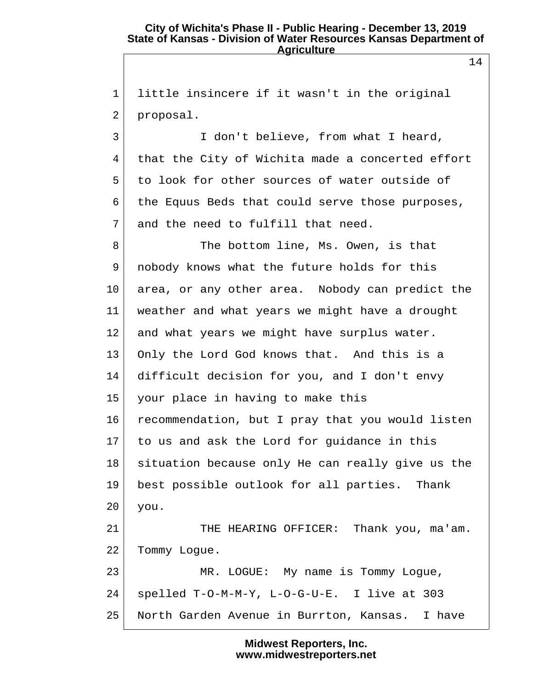1 little insincere if it wasn't in the original 2 proposal. 3 I don't believe, from what I heard, 4 that the City of Wichita made a concerted effort 5 to look for other sources of water outside of  $6$  the Equus Beds that could serve those purposes, 7 and the need to fulfill that need. 8 The bottom line, Ms. Owen, is that 9 nobody knows what the future holds for this 10 area, or any other area. Nobody can predict the 11 weather and what years we might have a drought 12 and what years we might have surplus water. 13 Only the Lord God knows that. And this is a 14 difficult decision for you, and I don't envy 15 your place in having to make this 16 recommendation, but I pray that you would listen 17 to us and ask the Lord for guidance in this 18 situation because only He can really give us the 19 best possible outlook for all parties. Thank 20 you. 21 THE HEARING OFFICER: Thank you, ma'am. 22 Tommy Logue. 23 MR. LOGUE: My name is Tommy Logue, 24 spelled T-O-M-M-Y, L-O-G-U-E. I live at 303 25 North Garden Avenue in Burrton, Kansas. I have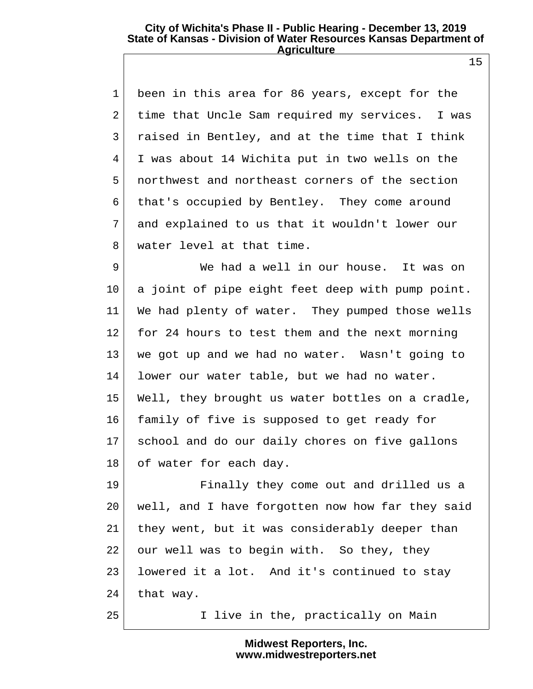1 been in this area for 86 years, except for the 2 time that Uncle Sam required my services. I was  $3$  raised in Bentley, and at the time that I think 4 I was about 14 Wichita put in two wells on the 5 northwest and northeast corners of the section 6 that's occupied by Bentley. They come around 7 and explained to us that it wouldn't lower our 8 water level at that time.

9 We had a well in our house. It was on 10 a joint of pipe eight feet deep with pump point. 11 We had plenty of water. They pumped those wells 12 for 24 hours to test them and the next morning 13 we got up and we had no water. Wasn't going to 14 lower our water table, but we had no water. 15 Well, they brought us water bottles on a cradle, 16 family of five is supposed to get ready for 17 school and do our daily chores on five gallons 18 of water for each day.

19 Finally they come out and drilled us a 20 well, and I have forgotten now how far they said 21 they went, but it was considerably deeper than 22 our well was to begin with. So they, they 23 lowered it a lot. And it's continued to stay 24 that way.

25 I live in the, practically on Main

**Midwest Reporters, Inc. www.midwestreporters.net**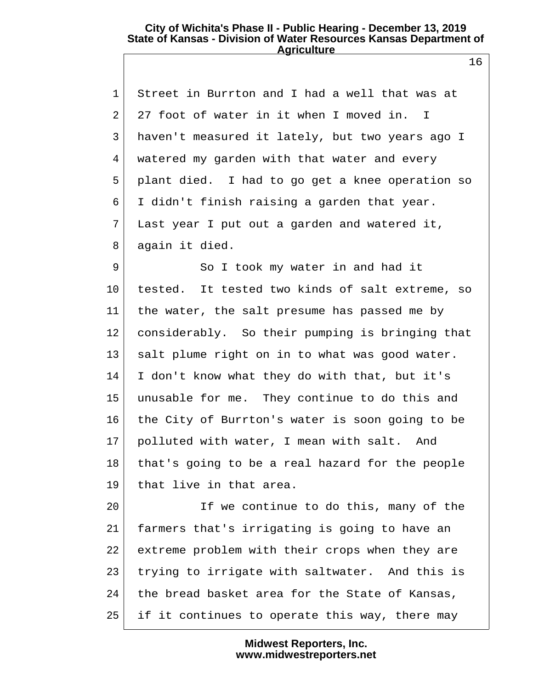1 Street in Burrton and I had a well that was at 2 27 foot of water in it when I moved in. I 3 haven't measured it lately, but two years ago I 4 watered my garden with that water and every 5 plant died. I had to go get a knee operation so 6 I didn't finish raising a garden that year. 7 Last year I put out a garden and watered it, 8 again it died.

9 So I took my water in and had it 10 tested. It tested two kinds of salt extreme, so 11 the water, the salt presume has passed me by 12 considerably. So their pumping is bringing that 13 salt plume right on in to what was good water. 14 I don't know what they do with that, but it's 15 unusable for me. They continue to do this and 16 the City of Burrton's water is soon going to be 17 polluted with water, I mean with salt. And 18 that's going to be a real hazard for the people 19 that live in that area.

20 If we continue to do this, many of the 21 farmers that's irrigating is going to have an 22 extreme problem with their crops when they are 23 trying to irrigate with saltwater. And this is  $24$  the bread basket area for the State of Kansas, 25 if it continues to operate this way, there may

> **Midwest Reporters, Inc. www.midwestreporters.net**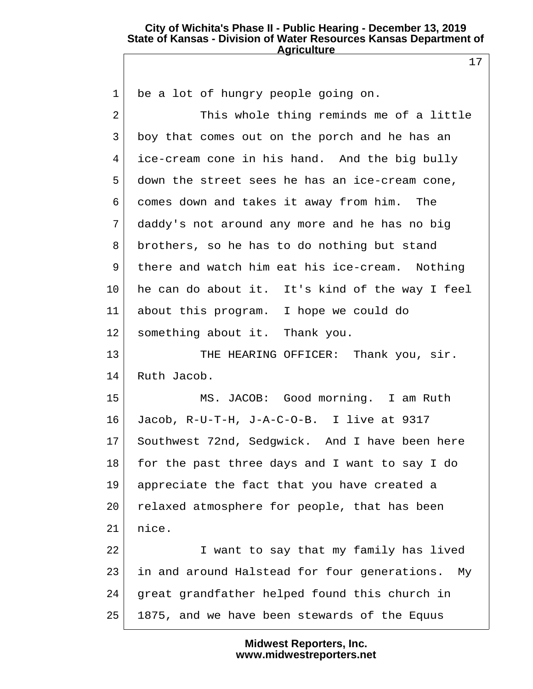17

| $\mathbf 1$ | be a lot of hungry people going on.             |
|-------------|-------------------------------------------------|
| 2           | This whole thing reminds me of a little         |
| 3           | boy that comes out on the porch and he has an   |
| 4           | ice-cream cone in his hand. And the big bully   |
| 5           | down the street sees he has an ice-cream cone,  |
| 6           | comes down and takes it away from him. The      |
| 7           | daddy's not around any more and he has no big   |
| 8           | brothers, so he has to do nothing but stand     |
| 9           | there and watch him eat his ice-cream. Nothing  |
| $10 \,$     | he can do about it. It's kind of the way I feel |
| 11          | about this program. I hope we could do          |
| 12          | something about it. Thank you.                  |
| 13          | THE HEARING OFFICER: Thank you, sir.            |
| 14          | Ruth Jacob.                                     |
| 15          | MS. JACOB: Good morning. I am Ruth              |
| 16          | Jacob, R-U-T-H, J-A-C-O-B. I live at 9317       |
| 17          | Southwest 72nd, Sedgwick. And I have been here  |
| 18          | for the past three days and I want to say I do  |
| 19          | appreciate the fact that you have created a     |
| 20          | relaxed atmosphere for people, that has been    |
| 21          | nice.                                           |
| 22          | I want to say that my family has lived          |
| 23          | in and around Halstead for four generations. My |
| 24          | great grandfather helped found this church in   |
| 25          | 1875, and we have been stewards of the Equus    |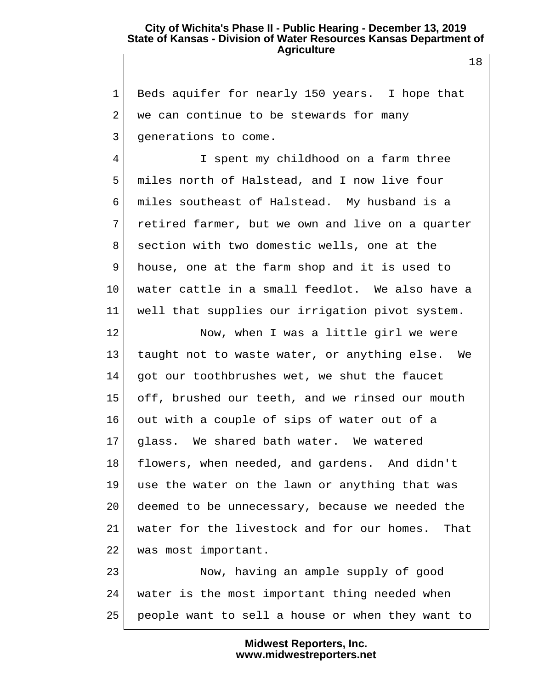1 Beds aquifer for nearly 150 years. I hope that 2 we can continue to be stewards for many 3 generations to come.

4 I spent my childhood on a farm three 5 miles north of Halstead, and I now live four 6 miles southeast of Halstead. My husband is a 7 retired farmer, but we own and live on a quarter 8 section with two domestic wells, one at the 9 house, one at the farm shop and it is used to 10 water cattle in a small feedlot. We also have a 11 well that supplies our irrigation pivot system.

12 Now, when I was a little girl we were 13 taught not to waste water, or anything else. We 14 got our toothbrushes wet, we shut the faucet 15 off, brushed our teeth, and we rinsed our mouth 16 out with a couple of sips of water out of a 17 glass. We shared bath water. We watered 18 flowers, when needed, and gardens. And didn't 19 use the water on the lawn or anything that was 20 deemed to be unnecessary, because we needed the 21 water for the livestock and for our homes. That 22 was most important.

23 Now, having an ample supply of good 24 water is the most important thing needed when 25 people want to sell a house or when they want to

> **Midwest Reporters, Inc. www.midwestreporters.net**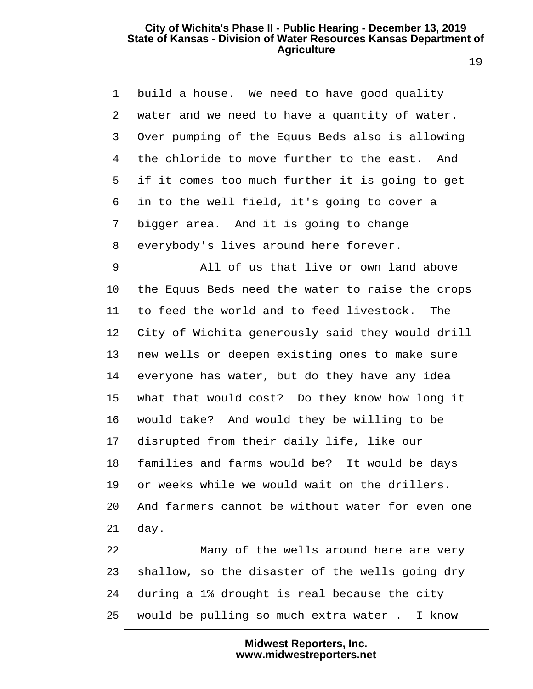1 build a house. We need to have good quality 2 water and we need to have a quantity of water. 3 Over pumping of the Equus Beds also is allowing 4 the chloride to move further to the east. And 5 if it comes too much further it is going to get 6 in to the well field, it's going to cover a 7 bigger area. And it is going to change 8 everybody's lives around here forever.

9 All of us that live or own land above 10 the Equus Beds need the water to raise the crops 11 to feed the world and to feed livestock. The 12 City of Wichita generously said they would drill 13 new wells or deepen existing ones to make sure 14 everyone has water, but do they have any idea 15 what that would cost? Do they know how long it 16 would take? And would they be willing to be 17 disrupted from their daily life, like our 18 families and farms would be? It would be days 19 or weeks while we would wait on the drillers. 20 And farmers cannot be without water for even one  $21$  day.

22 Many of the wells around here are very 23 shallow, so the disaster of the wells going dry 24 during a 1% drought is real because the city 25 would be pulling so much extra water . I know

> **Midwest Reporters, Inc. www.midwestreporters.net**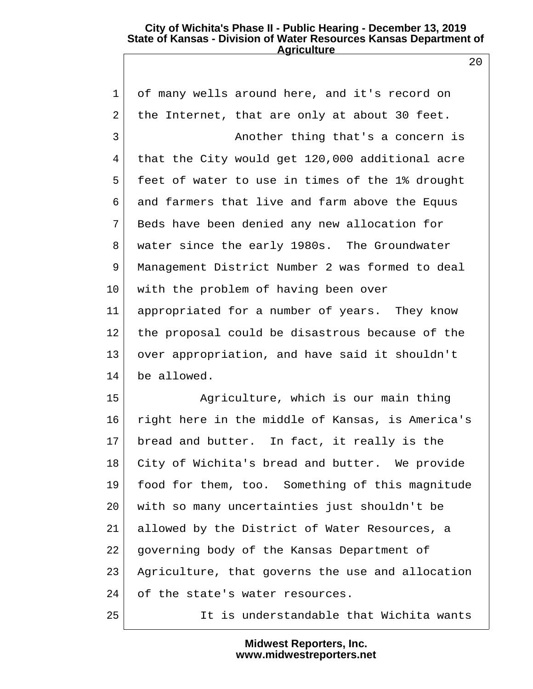1 of many wells around here, and it's record on 2 the Internet, that are only at about 30 feet. 3 Another thing that's a concern is 4 that the City would get 120,000 additional acre 5 feet of water to use in times of the 1% drought 6 and farmers that live and farm above the Equus 7 Beds have been denied any new allocation for 8 water since the early 1980s. The Groundwater 9 Management District Number 2 was formed to deal 10 with the problem of having been over 11 appropriated for a number of years. They know 12 the proposal could be disastrous because of the 13 over appropriation, and have said it shouldn't 14 be allowed. 15 Agriculture, which is our main thing

16 right here in the middle of Kansas, is America's 17 bread and butter. In fact, it really is the 18 City of Wichita's bread and butter. We provide 19 food for them, too. Something of this magnitude 20 with so many uncertainties just shouldn't be 21 allowed by the District of Water Resources, a 22 governing body of the Kansas Department of 23 Agriculture, that governs the use and allocation 24 of the state's water resources.

25 It is understandable that Wichita wants

**Midwest Reporters, Inc. www.midwestreporters.net**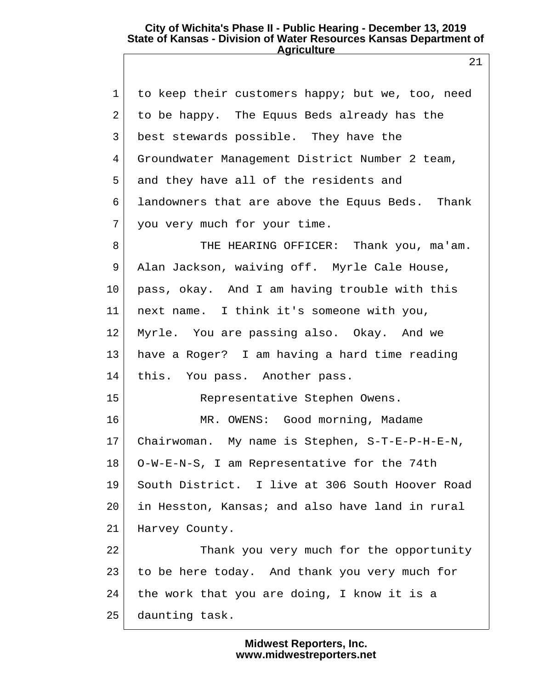| $\mathbf{1}$    | to keep their customers happy; but we, too, need |
|-----------------|--------------------------------------------------|
| 2               | to be happy. The Equus Beds already has the      |
| 3               | best stewards possible. They have the            |
| 4               | Groundwater Management District Number 2 team,   |
| 5               | and they have all of the residents and           |
| 6               | landowners that are above the Equus Beds. Thank  |
| 7               | you very much for your time.                     |
| 8               | THE HEARING OFFICER: Thank you, ma'am.           |
| 9               | Alan Jackson, waiving off. Myrle Cale House,     |
| $10\,$          | pass, okay. And I am having trouble with this    |
| 11 <sub>1</sub> | next name. I think it's someone with you,        |
| 12              | Myrle. You are passing also. Okay. And we        |
| 13              | have a Roger? I am having a hard time reading    |
| 14              | this. You pass. Another pass.                    |
| 15              | Representative Stephen Owens.                    |
| 16              | MR. OWENS: Good morning, Madame                  |
| 17              | Chairwoman. My name is Stephen, S-T-E-P-H-E-N,   |
| 18              | O-W-E-N-S, I am Representative for the 74th      |
| 19              | South District. I live at 306 South Hoover Road  |
| 20              | in Hesston, Kansas; and also have land in rural  |
| 21              | Harvey County.                                   |
| 22              | Thank you very much for the opportunity          |
| 23              | to be here today. And thank you very much for    |
| 24              | the work that you are doing, I know it is a      |
| 25              | daunting task.                                   |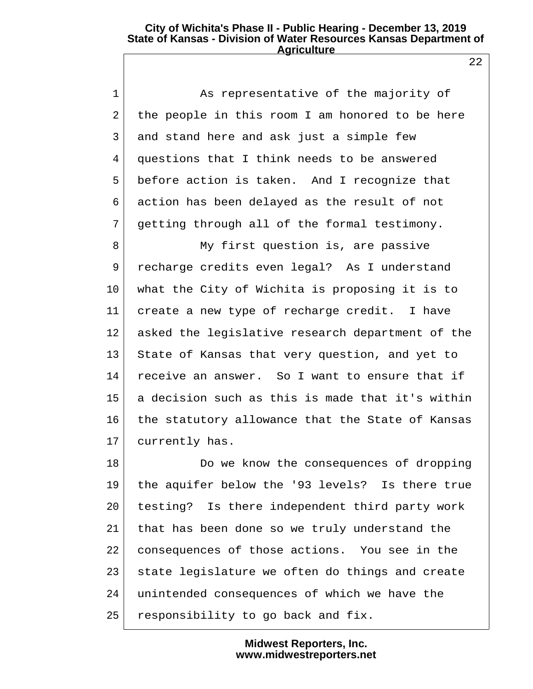1 As representative of the majority of 2 the people in this room I am honored to be here 3 and stand here and ask just a simple few 4 questions that I think needs to be answered 5 before action is taken. And I recognize that 6 action has been delayed as the result of not 7 getting through all of the formal testimony.

8 My first question is, are passive 9 recharge credits even legal? As I understand 10 what the City of Wichita is proposing it is to 11 create a new type of recharge credit. I have 12 asked the legislative research department of the 13 State of Kansas that very question, and yet to 14 receive an answer. So I want to ensure that if 15 a decision such as this is made that it's within 16 the statutory allowance that the State of Kansas 17 currently has.

18 Do we know the consequences of dropping 19 the aquifer below the '93 levels? Is there true 20 testing? Is there independent third party work 21 that has been done so we truly understand the 22 consequences of those actions. You see in the 23 state legislature we often do things and create 24 unintended consequences of which we have the 25 responsibility to go back and fix.

> **Midwest Reporters, Inc. www.midwestreporters.net**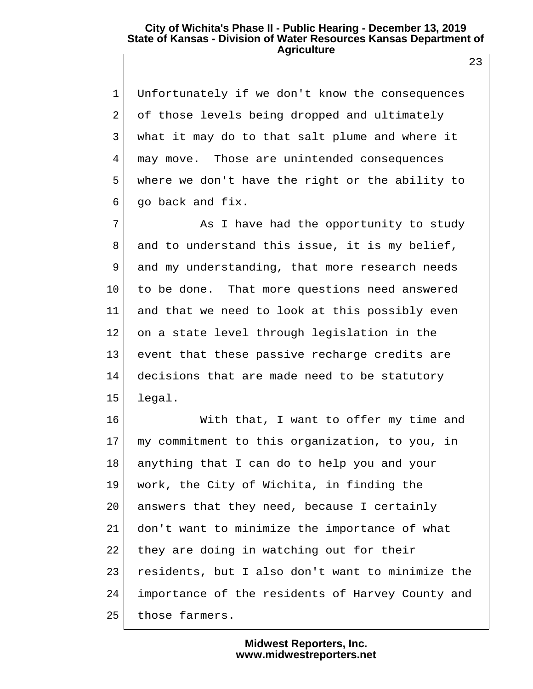1 Unfortunately if we don't know the consequences 2 of those levels being dropped and ultimately 3 what it may do to that salt plume and where it 4 may move. Those are unintended consequences 5 where we don't have the right or the ability to  $6$  qo back and fix.

7 As I have had the opportunity to study 8 and to understand this issue, it is my belief, 9 and my understanding, that more research needs 10 to be done. That more questions need answered 11 and that we need to look at this possibly even 12 on a state level through legislation in the 13 event that these passive recharge credits are 14 decisions that are made need to be statutory  $15$  legal.

16 With that, I want to offer my time and 17 my commitment to this organization, to you, in 18 anything that I can do to help you and your 19 work, the City of Wichita, in finding the 20 answers that they need, because I certainly 21 don't want to minimize the importance of what 22 they are doing in watching out for their 23 residents, but I also don't want to minimize the 24 importance of the residents of Harvey County and 25 those farmers.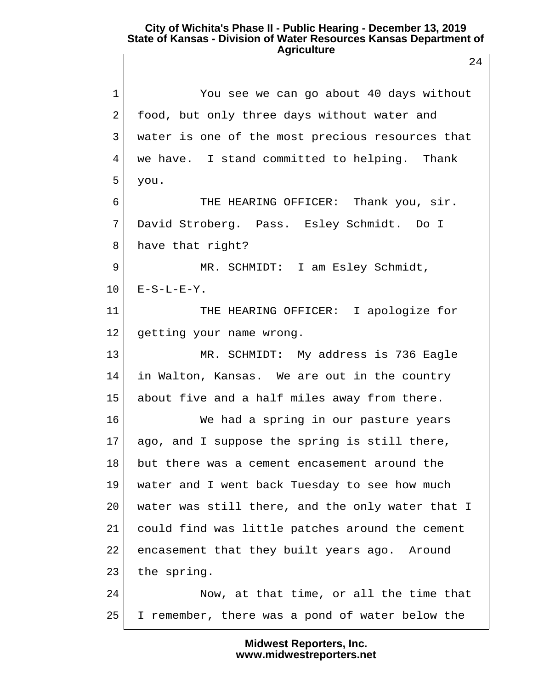1 You see we can go about 40 days without 2 food, but only three days without water and 3 water is one of the most precious resources that 4 we have. I stand committed to helping. Thank 5 you. 6 THE HEARING OFFICER: Thank you, sir. 7 David Stroberg. Pass. Esley Schmidt. Do I 8 have that right? 9 MR. SCHMIDT: I am Esley Schmidt,  $10$   $E-S-L-E-Y$ . 11 THE HEARING OFFICER: I apologize for 12 getting your name wrong. 13 MR. SCHMIDT: My address is 736 Eagle 14 in Walton, Kansas. We are out in the country 15 about five and a half miles away from there. 16 We had a spring in our pasture years  $17$  ago, and I suppose the spring is still there, 18 but there was a cement encasement around the 19 water and I went back Tuesday to see how much 20 water was still there, and the only water that I 21 could find was little patches around the cement 22 encasement that they built years ago. Around 23 the spring. 24 Now, at that time, or all the time that 25 I remember, there was a pond of water below the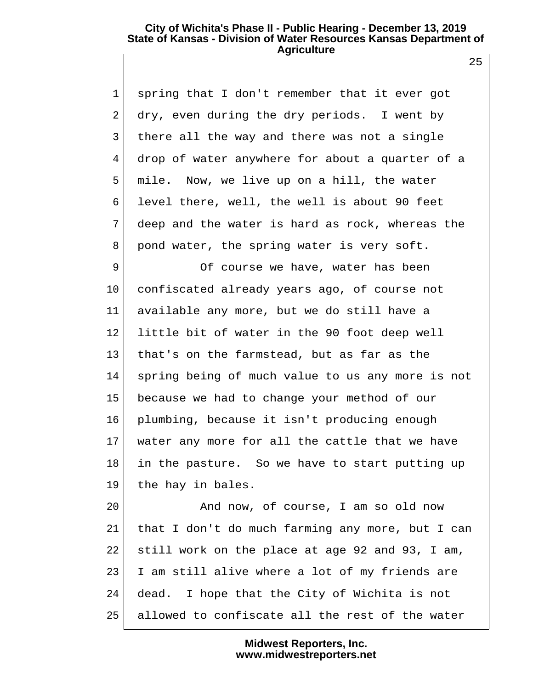1 spring that I don't remember that it ever got 2 dry, even during the dry periods. I went by 3 there all the way and there was not a single 4 drop of water anywhere for about a quarter of a 5 mile. Now, we live up on a hill, the water 6 level there, well, the well is about 90 feet 7 deep and the water is hard as rock, whereas the 8 pond water, the spring water is very soft.

9 Of course we have, water has been 10 confiscated already years ago, of course not 11 available any more, but we do still have a 12 little bit of water in the 90 foot deep well 13 that's on the farmstead, but as far as the 14 spring being of much value to us any more is not 15 because we had to change your method of our 16 plumbing, because it isn't producing enough 17 water any more for all the cattle that we have 18 in the pasture. So we have to start putting up 19 the hay in bales.

20 And now, of course, I am so old now 21 that I don't do much farming any more, but I can 22 still work on the place at age 92 and 93, I am, 23 I am still alive where a lot of my friends are 24 dead. I hope that the City of Wichita is not 25 allowed to confiscate all the rest of the water

> **Midwest Reporters, Inc. www.midwestreporters.net**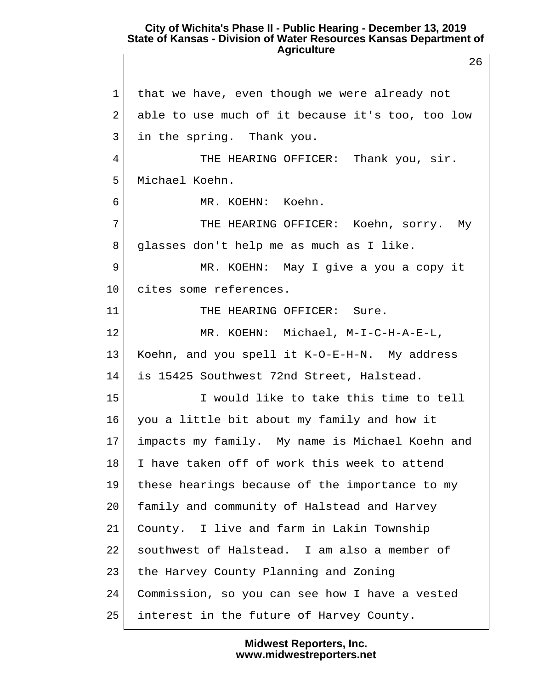26 1 that we have, even though we were already not 2 able to use much of it because it's too, too low 3 in the spring. Thank you. 4 THE HEARING OFFICER: Thank you, sir. 5 Michael Koehn. 6 MR. KOEHN: Koehn. 7 THE HEARING OFFICER: Koehn, sorry. My 8 glasses don't help me as much as I like. 9 MR. KOEHN: May I give a you a copy it 10 cites some references. 11 THE HEARING OFFICER: Sure. 12 MR. KOEHN: Michael, M-I-C-H-A-E-L, 13 Koehn, and you spell it K-O-E-H-N. My address 14 is 15425 Southwest 72nd Street, Halstead. 15 I would like to take this time to tell 16 you a little bit about my family and how it 17 impacts my family. My name is Michael Koehn and 18 I have taken off of work this week to attend 19 these hearings because of the importance to my 20 family and community of Halstead and Harvey 21 County. I live and farm in Lakin Township 22 southwest of Halstead. I am also a member of 23 the Harvey County Planning and Zoning 24 Commission, so you can see how I have a vested 25 interest in the future of Harvey County.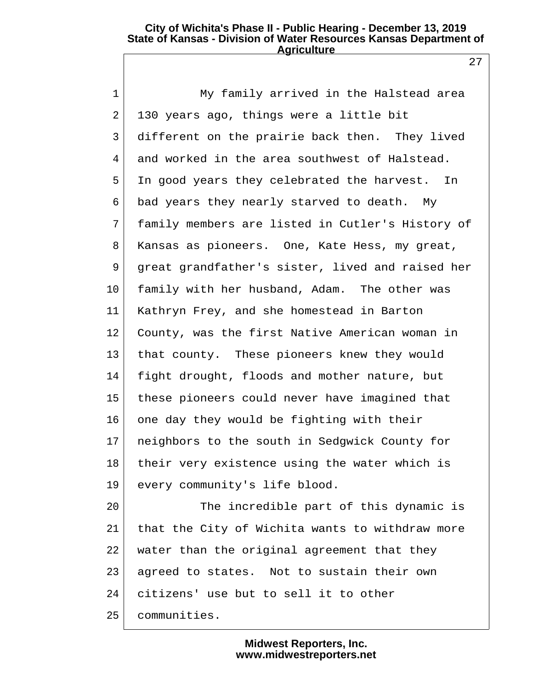27

| $\mathbf 1$ | My family arrived in the Halstead area           |  |
|-------------|--------------------------------------------------|--|
| 2           | 130 years ago, things were a little bit          |  |
| 3           | different on the prairie back then. They lived   |  |
| 4           | and worked in the area southwest of Halstead.    |  |
| 5           | In good years they celebrated the harvest. In    |  |
| 6           | bad years they nearly starved to death. My       |  |
| 7           | family members are listed in Cutler's History of |  |
| 8           | Kansas as pioneers. One, Kate Hess, my great,    |  |
| 9           | great grandfather's sister, lived and raised her |  |
| 10          | family with her husband, Adam. The other was     |  |
| 11          | Kathryn Frey, and she homestead in Barton        |  |
| 12          | County, was the first Native American woman in   |  |
| 13          | that county. These pioneers knew they would      |  |
| 14          | fight drought, floods and mother nature, but     |  |
| 15          | these pioneers could never have imagined that    |  |
| 16          | one day they would be fighting with their        |  |
| 17          | neighbors to the south in Sedgwick County for    |  |
| 18          | their very existence using the water which is    |  |
| 19          | every community's life blood.                    |  |
| 20          | The incredible part of this dynamic is           |  |
| 21          | that the City of Wichita wants to withdraw more  |  |
| 22          | water than the original agreement that they      |  |
| 23          | agreed to states. Not to sustain their own       |  |
| 24          | citizens' use but to sell it to other            |  |
| 25          | communities.                                     |  |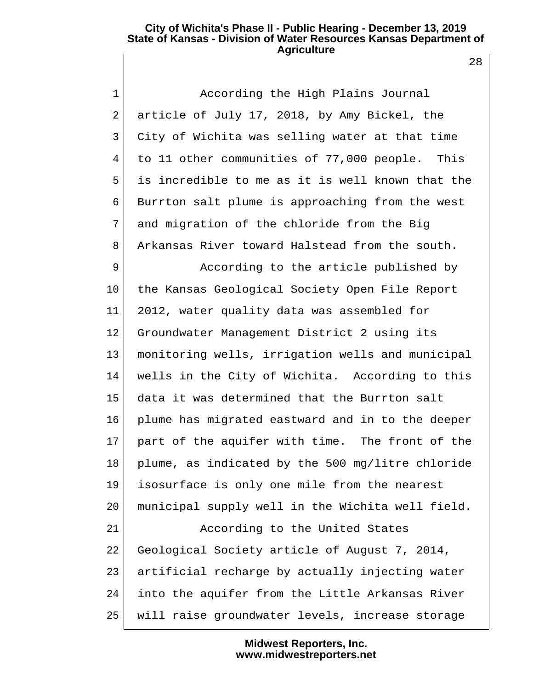28

| $\mathbf 1$ | According the High Plains Journal                 |
|-------------|---------------------------------------------------|
| 2           | article of July 17, 2018, by Amy Bickel, the      |
| 3           | City of Wichita was selling water at that time    |
| 4           | to 11 other communities of 77,000 people.<br>This |
| 5           | is incredible to me as it is well known that the  |
| 6           | Burrton salt plume is approaching from the west   |
| 7           | and migration of the chloride from the Big        |
| 8           | Arkansas River toward Halstead from the south.    |
| 9           | According to the article published by             |
| $10 \,$     | the Kansas Geological Society Open File Report    |
| 11          | 2012, water quality data was assembled for        |
| 12          | Groundwater Management District 2 using its       |
| 13          | monitoring wells, irrigation wells and municipal  |
| 14          | wells in the City of Wichita. According to this   |
| 15          | data it was determined that the Burrton salt      |
| 16          | plume has migrated eastward and in to the deeper  |
| 17          | part of the aquifer with time. The front of the   |
| 18          | plume, as indicated by the 500 mg/litre chloride  |
| 19          | isosurface is only one mile from the nearest      |
| 20          | municipal supply well in the Wichita well field.  |
| 21          | According to the United States                    |
| 22          | Geological Society article of August 7, 2014,     |
| 23          | artificial recharge by actually injecting water   |
| 24          | into the aquifer from the Little Arkansas River   |
| 25          | will raise groundwater levels, increase storage   |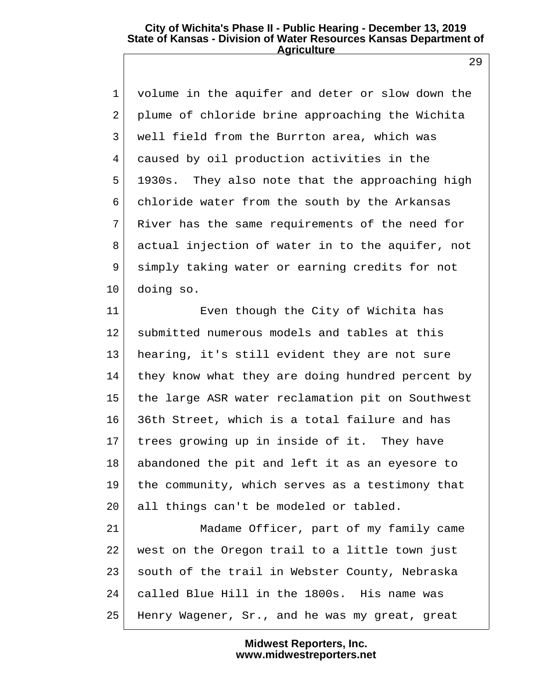1 volume in the aquifer and deter or slow down the 2 plume of chloride brine approaching the Wichita 3 well field from the Burrton area, which was 4 caused by oil production activities in the 5 1930s. They also note that the approaching high 6 chloride water from the south by the Arkansas 7 River has the same requirements of the need for 8 actual injection of water in to the aquifer, not 9 simply taking water or earning credits for not 10 doing so.

11 Even though the City of Wichita has 12 submitted numerous models and tables at this 13 hearing, it's still evident they are not sure 14 they know what they are doing hundred percent by 15 the large ASR water reclamation pit on Southwest 16 36th Street, which is a total failure and has 17 trees growing up in inside of it. They have 18 abandoned the pit and left it as an eyesore to 19 the community, which serves as a testimony that 20 all things can't be modeled or tabled.

21 Madame Officer, part of my family came 22 west on the Oregon trail to a little town just 23 south of the trail in Webster County, Nebraska 24 called Blue Hill in the 1800s. His name was 25 Henry Wagener, Sr., and he was my great, great

> **Midwest Reporters, Inc. www.midwestreporters.net**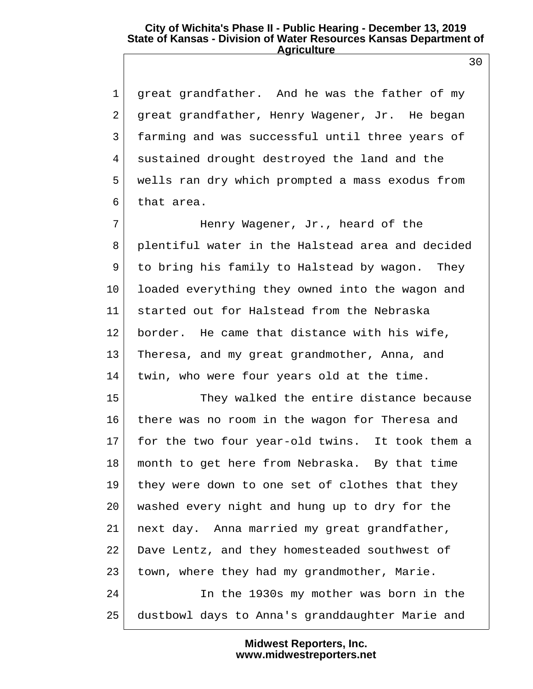1 great grandfather. And he was the father of my 2 great grandfather, Henry Wagener, Jr. He began 3 farming and was successful until three years of 4 sustained drought destroyed the land and the 5 wells ran dry which prompted a mass exodus from 6 that area.

7 Henry Wagener, Jr., heard of the 8 plentiful water in the Halstead area and decided 9 to bring his family to Halstead by wagon. They 10 loaded everything they owned into the wagon and 11 started out for Halstead from the Nebraska 12 border. He came that distance with his wife, 13 Theresa, and my great grandmother, Anna, and 14 twin, who were four years old at the time.

15 They walked the entire distance because 16 there was no room in the wagon for Theresa and 17 for the two four year-old twins. It took them a 18 month to get here from Nebraska. By that time 19 they were down to one set of clothes that they 20 washed every night and hung up to dry for the 21 next day. Anna married my great grandfather, 22 Dave Lentz, and they homesteaded southwest of 23 town, where they had my grandmother, Marie. 24 In the 1930s my mother was born in the 25 dustbowl days to Anna's granddaughter Marie and

> **Midwest Reporters, Inc. www.midwestreporters.net**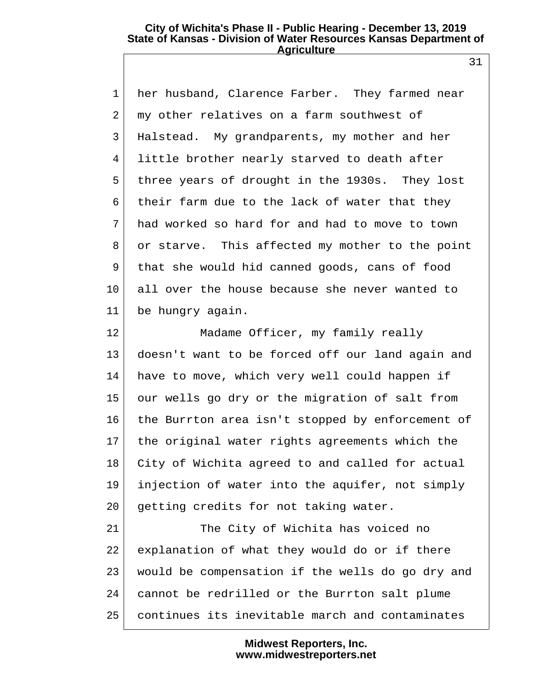1 her husband, Clarence Farber. They farmed near 2 my other relatives on a farm southwest of 3 Halstead. My grandparents, my mother and her 4 little brother nearly starved to death after 5 three years of drought in the 1930s. They lost 6 their farm due to the lack of water that they 7 had worked so hard for and had to move to town 8 or starve. This affected my mother to the point 9 that she would hid canned goods, cans of food 10 all over the house because she never wanted to 11 be hungry again.

12 Madame Officer, my family really 13 doesn't want to be forced off our land again and 14 have to move, which very well could happen if 15 our wells go dry or the migration of salt from 16 the Burrton area isn't stopped by enforcement of 17 | the original water rights agreements which the 18 City of Wichita agreed to and called for actual 19 injection of water into the aquifer, not simply 20 getting credits for not taking water.

21 The City of Wichita has voiced no 22 explanation of what they would do or if there 23 would be compensation if the wells do go dry and 24 cannot be redrilled or the Burrton salt plume 25 continues its inevitable march and contaminates

> **Midwest Reporters, Inc. www.midwestreporters.net**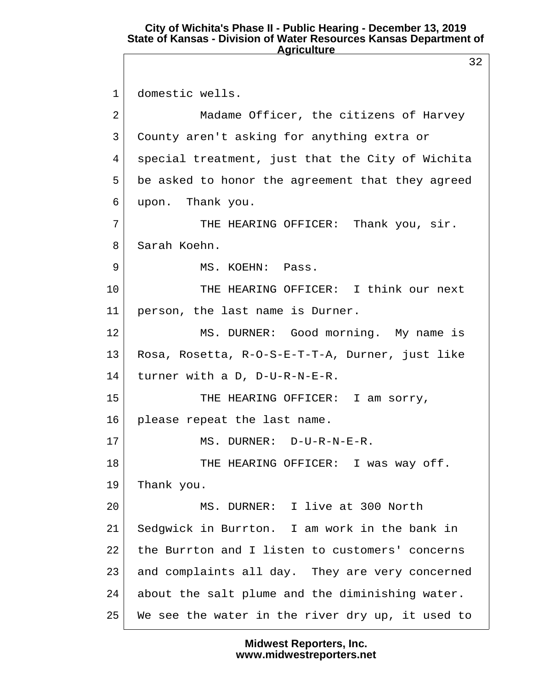32 1 domestic wells. 2 Madame Officer, the citizens of Harvey 3 County aren't asking for anything extra or 4 special treatment, just that the City of Wichita 5 be asked to honor the agreement that they agreed 6 upon. Thank you. 7 THE HEARING OFFICER: Thank you, sir. 8 Sarah Koehn. 9 MS. KOEHN: Pass. 10 THE HEARING OFFICER: I think our next 11 person, the last name is Durner. 12 MS. DURNER: Good morning. My name is 13 Rosa, Rosetta, R-O-S-E-T-T-A, Durner, just like 14 turner with a D, D-U-R-N-E-R. 15 THE HEARING OFFICER: I am sorry, 16 please repeat the last name. 17 MS. DURNER: D-U-R-N-E-R. 18 THE HEARING OFFICER: I was way off. 19 Thank you. 20 MS. DURNER: I live at 300 North 21 Sedgwick in Burrton. I am work in the bank in 22 the Burrton and I listen to customers' concerns 23 and complaints all day. They are very concerned 24 about the salt plume and the diminishing water. 25 We see the water in the river dry up, it used to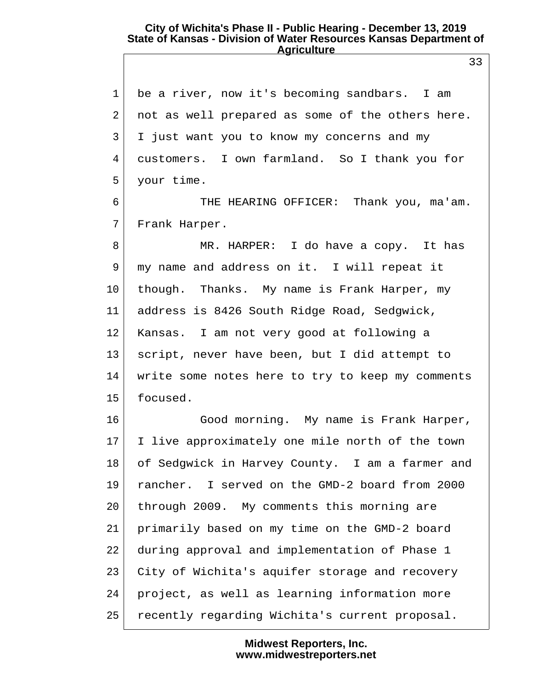1 be a river, now it's becoming sandbars. I am 2 not as well prepared as some of the others here. 3 I just want you to know my concerns and my 4 customers. I own farmland. So I thank you for 5 your time.

 6 THE HEARING OFFICER: Thank you, ma'am. 7 Frank Harper.

8 MR. HARPER: I do have a copy. It has 9 my name and address on it. I will repeat it 10 though. Thanks. My name is Frank Harper, my 11 address is 8426 South Ridge Road, Sedgwick, 12 Kansas. I am not very good at following a 13 script, never have been, but I did attempt to 14 write some notes here to try to keep my comments 15 focused.

16 Good morning. My name is Frank Harper, 17 I live approximately one mile north of the town 18 of Sedgwick in Harvey County. I am a farmer and 19 rancher. I served on the GMD-2 board from 2000 20 through 2009. My comments this morning are 21 primarily based on my time on the GMD-2 board 22 during approval and implementation of Phase 1 23 City of Wichita's aquifer storage and recovery 24 project, as well as learning information more 25 recently regarding Wichita's current proposal.

> **Midwest Reporters, Inc. www.midwestreporters.net**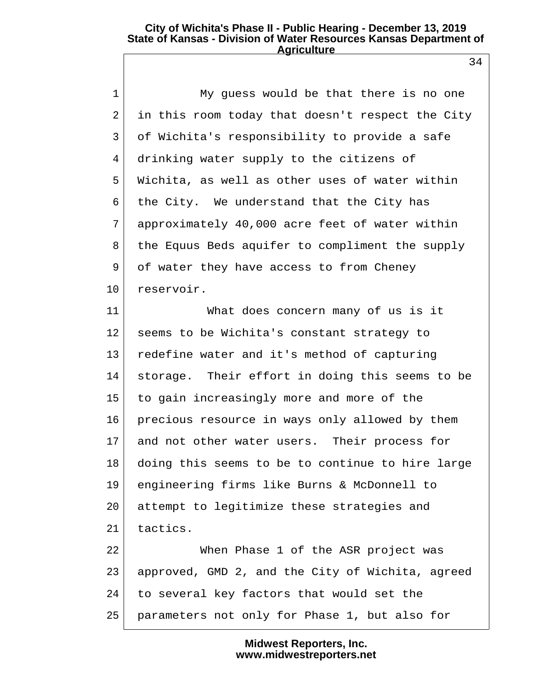1 My guess would be that there is no one 2 in this room today that doesn't respect the City 3 of Wichita's responsibility to provide a safe 4 drinking water supply to the citizens of 5 Wichita, as well as other uses of water within 6 the City. We understand that the City has 7 approximately 40,000 acre feet of water within 8 the Equus Beds aquifer to compliment the supply 9 of water they have access to from Cheney 10 reservoir.

11 What does concern many of us is it 12 seems to be Wichita's constant strategy to 13 redefine water and it's method of capturing 14 storage. Their effort in doing this seems to be 15 to gain increasingly more and more of the 16 precious resource in ways only allowed by them 17 and not other water users. Their process for 18 doing this seems to be to continue to hire large 19 engineering firms like Burns & McDonnell to 20 attempt to legitimize these strategies and  $21$  tactics.

22 When Phase 1 of the ASR project was 23 approved, GMD 2, and the City of Wichita, agreed 24 to several key factors that would set the 25 parameters not only for Phase 1, but also for

> **Midwest Reporters, Inc. www.midwestreporters.net**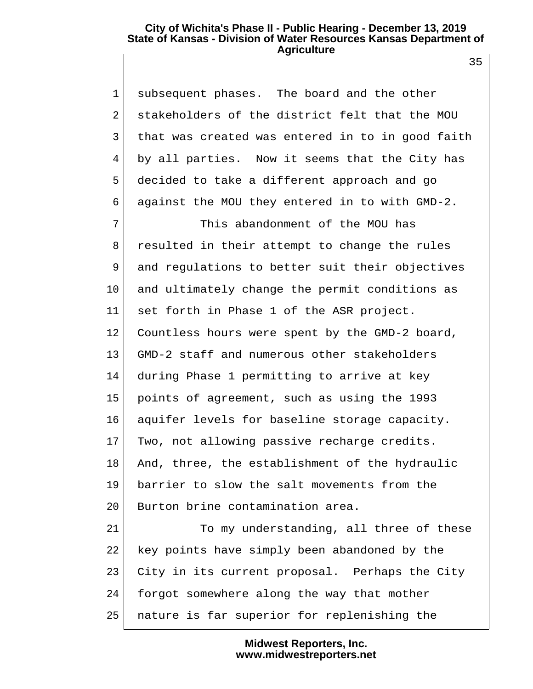1 subsequent phases. The board and the other 2 stakeholders of the district felt that the MOU 3 that was created was entered in to in good faith 4 by all parties. Now it seems that the City has 5 decided to take a different approach and go 6 against the MOU they entered in to with GMD-2.

 7 This abandonment of the MOU has 8 resulted in their attempt to change the rules 9 and regulations to better suit their objectives 10 and ultimately change the permit conditions as 11 set forth in Phase 1 of the ASR project. 12 Countless hours were spent by the GMD-2 board, 13 GMD-2 staff and numerous other stakeholders 14 during Phase 1 permitting to arrive at key 15 points of agreement, such as using the 1993 16 aquifer levels for baseline storage capacity. 17 Two, not allowing passive recharge credits. 18 And, three, the establishment of the hydraulic 19 barrier to slow the salt movements from the 20 Burton brine contamination area. 21 To my understanding, all three of these

22 key points have simply been abandoned by the 23 City in its current proposal. Perhaps the City 24 forgot somewhere along the way that mother 25 nature is far superior for replenishing the

> **Midwest Reporters, Inc. www.midwestreporters.net**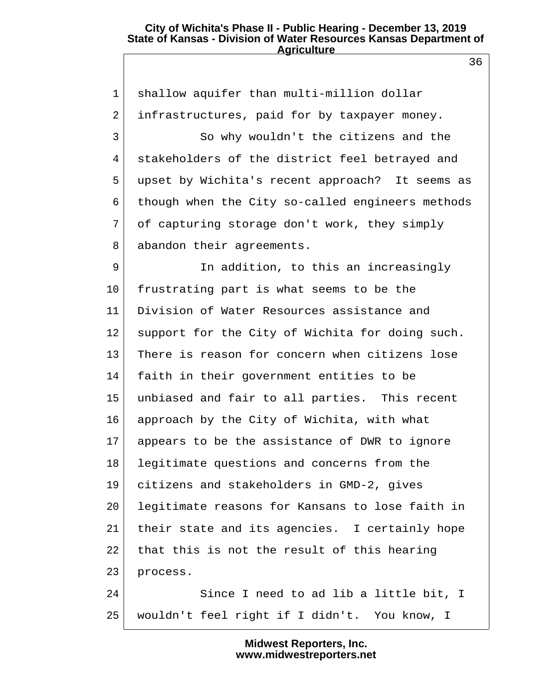1 shallow aquifer than multi-million dollar 2 infrastructures, paid for by taxpayer money. 3 So why wouldn't the citizens and the 4 stakeholders of the district feel betrayed and 5 upset by Wichita's recent approach? It seems as 6 though when the City so-called engineers methods 7 of capturing storage don't work, they simply 8 abandon their agreements. 9 In addition, to this an increasingly 10 frustrating part is what seems to be the 11 Division of Water Resources assistance and 12 support for the City of Wichita for doing such. 13 There is reason for concern when citizens lose 14 faith in their government entities to be 15 unbiased and fair to all parties. This recent 16 approach by the City of Wichita, with what 17 appears to be the assistance of DWR to ignore 18 legitimate questions and concerns from the 19 citizens and stakeholders in GMD-2, gives 20 legitimate reasons for Kansans to lose faith in 21 their state and its agencies. I certainly hope 22 that this is not the result of this hearing 23 process. 24 Since I need to ad lib a little bit, I 25 wouldn't feel right if I didn't. You know, I

> **Midwest Reporters, Inc. www.midwestreporters.net**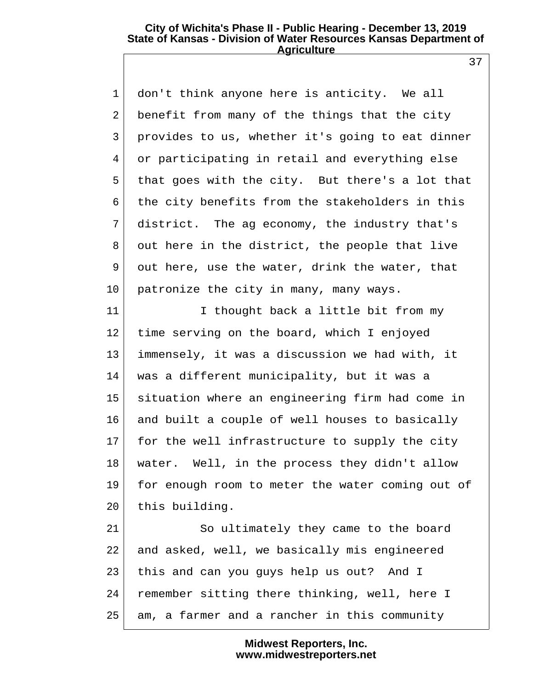1 don't think anyone here is anticity. We all 2 benefit from many of the things that the city 3 provides to us, whether it's going to eat dinner 4 or participating in retail and everything else 5 that goes with the city. But there's a lot that 6 the city benefits from the stakeholders in this 7 district. The ag economy, the industry that's 8 out here in the district, the people that live 9 out here, use the water, drink the water, that 10 patronize the city in many, many ways.

11 I thought back a little bit from my 12 time serving on the board, which I enjoyed 13 immensely, it was a discussion we had with, it 14 was a different municipality, but it was a 15 situation where an engineering firm had come in 16 and built a couple of well houses to basically 17 for the well infrastructure to supply the city 18 water. Well, in the process they didn't allow 19 for enough room to meter the water coming out of 20 this building.

21 So ultimately they came to the board 22 and asked, well, we basically mis engineered 23 this and can you guys help us out? And I 24 remember sitting there thinking, well, here I 25 am, a farmer and a rancher in this community

> **Midwest Reporters, Inc. www.midwestreporters.net**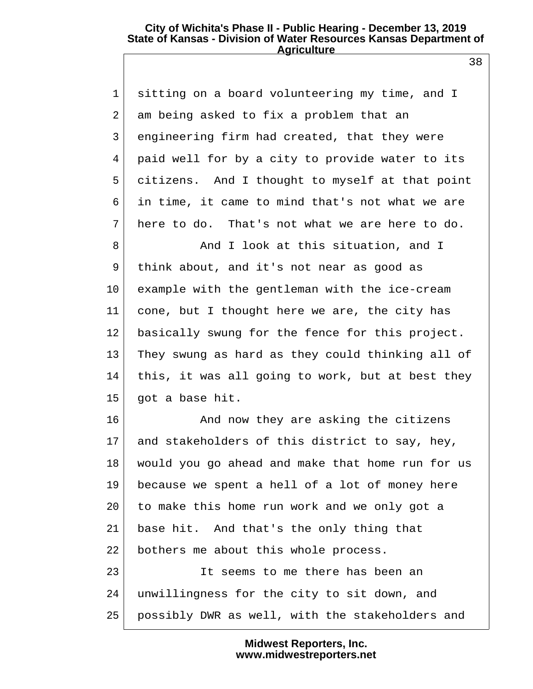1 sitting on a board volunteering my time, and I 2 am being asked to fix a problem that an 3 engineering firm had created, that they were 4 paid well for by a city to provide water to its 5 citizens. And I thought to myself at that point 6 in time, it came to mind that's not what we are 7 here to do. That's not what we are here to do.

8 And I look at this situation, and I 9 think about, and it's not near as good as 10 example with the gentleman with the ice-cream 11 cone, but I thought here we are, the city has 12 basically swung for the fence for this project. 13 They swung as hard as they could thinking all of 14 this, it was all going to work, but at best they 15 got a base hit.

16 | And now they are asking the citizens 17 and stakeholders of this district to say, hey, 18 would you go ahead and make that home run for us 19 because we spent a hell of a lot of money here 20 to make this home run work and we only got a 21 base hit. And that's the only thing that 22 bothers me about this whole process. 23 It seems to me there has been an 24 unwillingness for the city to sit down, and

25 possibly DWR as well, with the stakeholders and

**Midwest Reporters, Inc. www.midwestreporters.net**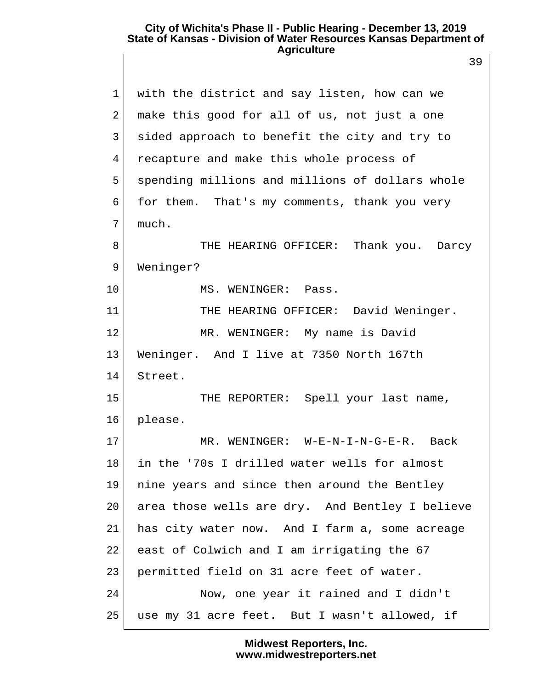|                | 39                                              |
|----------------|-------------------------------------------------|
| $\mathbf 1$    | with the district and say listen, how can we    |
| $\overline{2}$ | make this good for all of us, not just a one    |
| 3              | sided approach to benefit the city and try to   |
| 4              | recapture and make this whole process of        |
| 5              | spending millions and millions of dollars whole |
| 6              | for them. That's my comments, thank you very    |
| 7              | much.                                           |
| 8              | THE HEARING OFFICER: Thank you. Darcy           |
| 9              | Weninger?                                       |
| 10             | MS. WENINGER: Pass.                             |
| 11             | THE HEARING OFFICER: David Weninger.            |
| 12             | MR. WENINGER: My name is David                  |
| 13             | Weninger. And I live at 7350 North 167th        |
| 14             | Street.                                         |
| 15             | THE REPORTER: Spell your last name,             |
| 16             | please.                                         |
| 17             | MR. WENINGER: W-E-N-I-N-G-E-R.<br>Back          |
| 18             | in the '70s I drilled water wells for almost    |
| 19             | nine years and since then around the Bentley    |
| 20             | area those wells are dry. And Bentley I believe |
| 21             | has city water now. And I farm a, some acreage  |
| 22             | east of Colwich and I am irrigating the 67      |
| 23             | permitted field on 31 acre feet of water.       |
| 24             | Now, one year it rained and I didn't            |
| 25             | use my 31 acre feet. But I wasn't allowed, if   |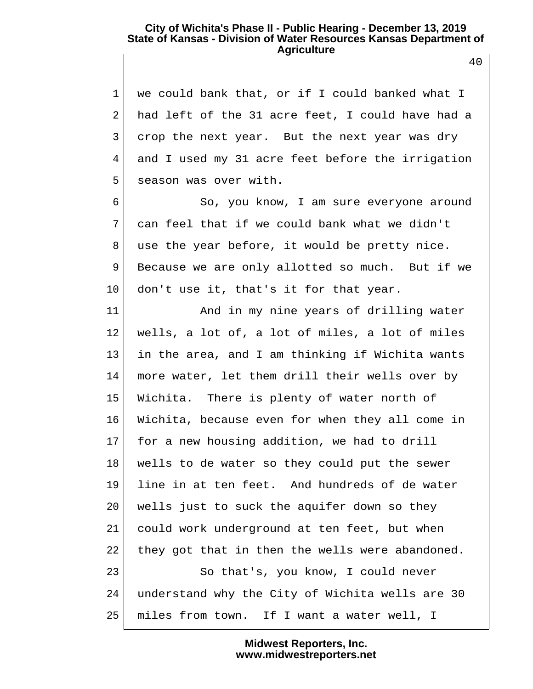| $\mathbf 1$    | we could bank that, or if I could banked what I  |
|----------------|--------------------------------------------------|
| $\overline{2}$ | had left of the 31 acre feet, I could have had a |
| 3              | crop the next year. But the next year was dry    |
| 4              | and I used my 31 acre feet before the irrigation |
| 5              | season was over with.                            |
| 6              | So, you know, I am sure everyone around          |
| 7              | can feel that if we could bank what we didn't    |
| 8              | use the year before, it would be pretty nice.    |
| 9              | Because we are only allotted so much. But if we  |
| $10 \,$        | don't use it, that's it for that year.           |
| 11             | And in my nine years of drilling water           |
| 12             | wells, a lot of, a lot of miles, a lot of miles  |
| 13             | in the area, and I am thinking if Wichita wants  |
| 14             | more water, let them drill their wells over by   |
| 15             | Wichita. There is plenty of water north of       |
| 16             | Wichita, because even for when they all come in  |
| 17             | for a new housing addition, we had to drill      |
| 18             | wells to de water so they could put the sewer    |
| 19             | line in at ten feet. And hundreds of de water    |
| 20             | wells just to suck the aquifer down so they      |
| 21             | could work underground at ten feet, but when     |
| 22             | they got that in then the wells were abandoned.  |
| 23             | So that's, you know, I could never               |
| 24             | understand why the City of Wichita wells are 30  |
| 25             | miles from town. If I want a water well, I       |

**Midwest Reporters, Inc. www.midwestreporters.net**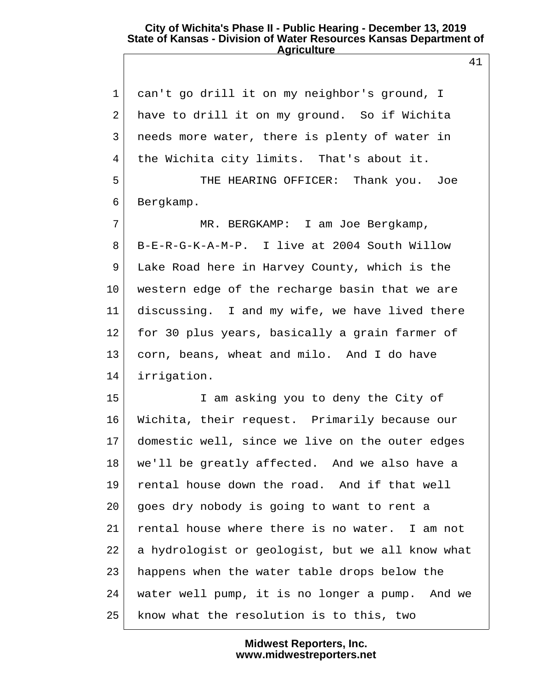1 can't go drill it on my neighbor's ground, I 2 have to drill it on my ground. So if Wichita 3 needs more water, there is plenty of water in 4 the Wichita city limits. That's about it. 5 THE HEARING OFFICER: Thank you. Joe 6 Bergkamp. 7 MR. BERGKAMP: I am Joe Bergkamp, 8 B-E-R-G-K-A-M-P. I live at 2004 South Willow 9 Lake Road here in Harvey County, which is the 10 western edge of the recharge basin that we are 11 discussing. I and my wife, we have lived there 12 for 30 plus years, basically a grain farmer of 13 corn, beans, wheat and milo. And I do have 14 irrigation. 15 I am asking you to deny the City of 16 Wichita, their request. Primarily because our 17 domestic well, since we live on the outer edges 18 we'll be greatly affected. And we also have a 19 rental house down the road. And if that well 20 goes dry nobody is going to want to rent a 21 rental house where there is no water. I am not 22 a hydrologist or geologist, but we all know what 23 happens when the water table drops below the 24 water well pump, it is no longer a pump. And we 25 know what the resolution is to this, two

> **Midwest Reporters, Inc. www.midwestreporters.net**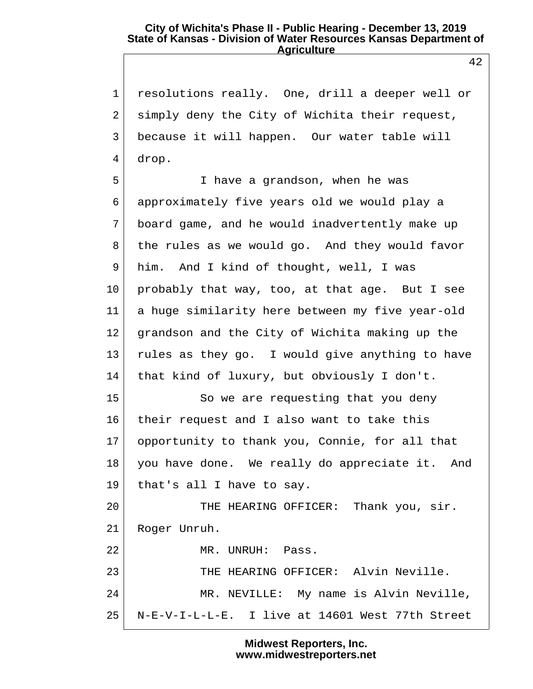1 resolutions really. One, drill a deeper well or 2 simply deny the City of Wichita their request, 3 because it will happen. Our water table will 4 drop.

 5 I have a grandson, when he was 6 approximately five years old we would play a 7 board game, and he would inadvertently make up 8 the rules as we would go. And they would favor 9 him. And I kind of thought, well, I was 10 probably that way, too, at that age. But I see 11 a huge similarity here between my five year-old 12 | grandson and the City of Wichita making up the 13 rules as they go. I would give anything to have 14 that kind of luxury, but obviously I don't. 15 So we are requesting that you deny 16 their request and I also want to take this 17 opportunity to thank you, Connie, for all that 18 you have done. We really do appreciate it. And 19 that's all I have to say. 20 THE HEARING OFFICER: Thank you, sir. 21 Roger Unruh. 22 MR. UNRUH: Pass. 23 THE HEARING OFFICER: Alvin Neville. 24 MR. NEVILLE: My name is Alvin Neville,

> **Midwest Reporters, Inc. www.midwestreporters.net**

25 N-E-V-I-L-L-E. I live at 14601 West 77th Street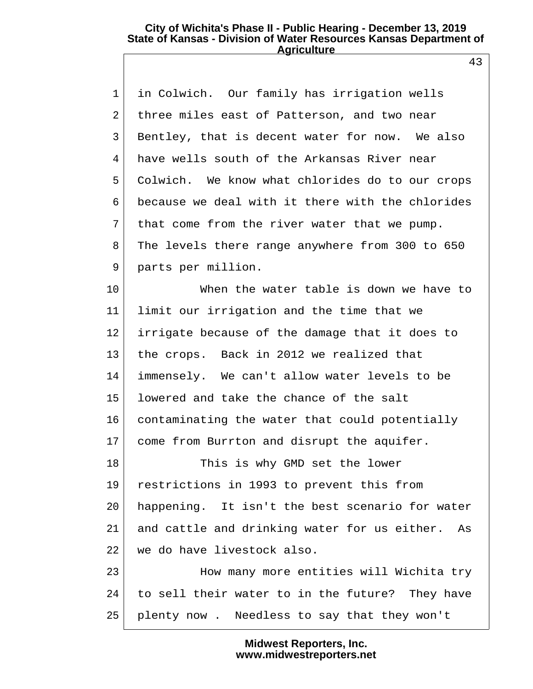43

| $\mathbf 1$ | in Colwich. Our family has irrigation wells        |
|-------------|----------------------------------------------------|
| 2           | three miles east of Patterson, and two near        |
| 3           | Bentley, that is decent water for now. We also     |
| 4           | have wells south of the Arkansas River near        |
| 5           | Colwich. We know what chlorides do to our crops    |
| 6           | because we deal with it there with the chlorides   |
| 7           | that come from the river water that we pump.       |
| 8           | The levels there range anywhere from 300 to 650    |
| 9           | parts per million.                                 |
| $10 \,$     | When the water table is down we have to            |
| $11 \,$     | limit our irrigation and the time that we          |
| 12          | irrigate because of the damage that it does to     |
| 13          | the crops. Back in 2012 we realized that           |
| 14          | immensely. We can't allow water levels to be       |
| 15          | lowered and take the chance of the salt            |
| 16          | contaminating the water that could potentially     |
| 17          | come from Burrton and disrupt the aquifer.         |
| 18          | This is why GMD set the lower                      |
| 19          | restrictions in 1993 to prevent this from          |
| 20          | happening. It isn't the best scenario for water    |
| 21          | and cattle and drinking water for us either.<br>As |
| 22          | we do have livestock also.                         |
| 23          | How many more entities will Wichita try            |
| 24          | to sell their water to in the future? They have    |
| 25          | plenty now. Needless to say that they won't        |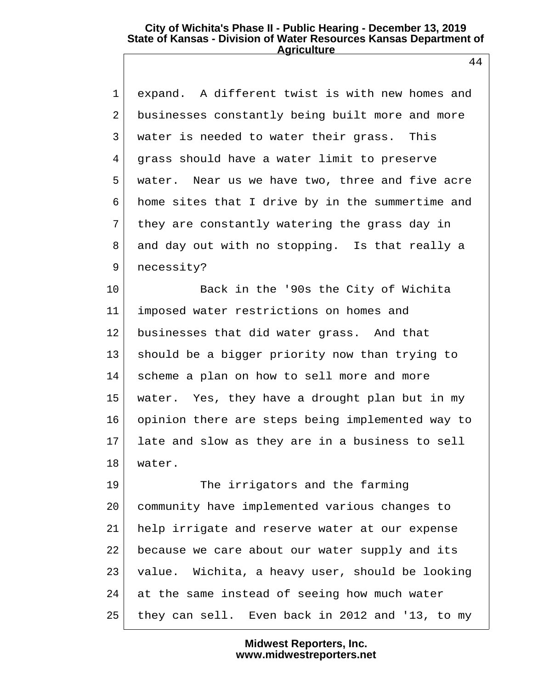1 expand. A different twist is with new homes and 2 businesses constantly being built more and more 3 water is needed to water their grass. This 4 grass should have a water limit to preserve 5 water. Near us we have two, three and five acre 6 home sites that I drive by in the summertime and 7 they are constantly watering the grass day in 8 and day out with no stopping. Is that really a 9 necessity?

10 Back in the '90s the City of Wichita 11 imposed water restrictions on homes and 12 businesses that did water grass. And that 13 should be a bigger priority now than trying to 14 scheme a plan on how to sell more and more 15 water. Yes, they have a drought plan but in my 16 opinion there are steps being implemented way to 17 late and slow as they are in a business to sell 18 water.

19 The irrigators and the farming 20 community have implemented various changes to 21 help irrigate and reserve water at our expense 22 because we care about our water supply and its 23 value. Wichita, a heavy user, should be looking  $24$  at the same instead of seeing how much water 25 they can sell. Even back in 2012 and '13, to my

> **Midwest Reporters, Inc. www.midwestreporters.net**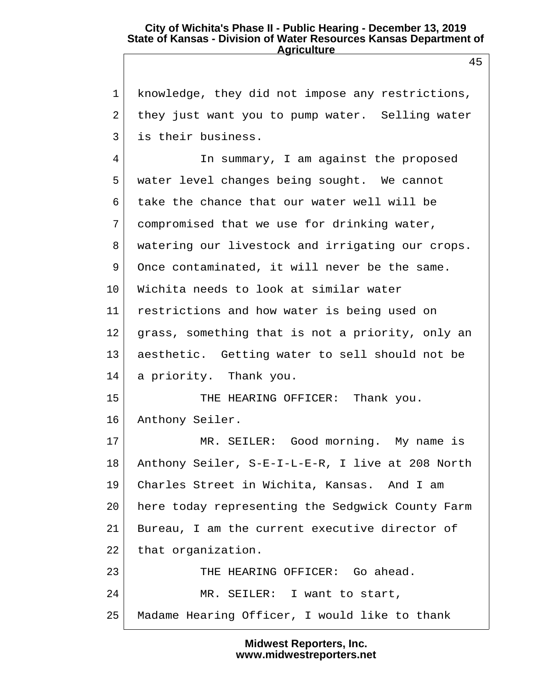1 knowledge, they did not impose any restrictions, 2 they just want you to pump water. Selling water 3 is their business. 4 In summary, I am against the proposed 5 water level changes being sought. We cannot 6 take the chance that our water well will be 7 compromised that we use for drinking water, 8 watering our livestock and irrigating our crops. 9 Once contaminated, it will never be the same. 10 Wichita needs to look at similar water 11 restrictions and how water is being used on 12 grass, something that is not a priority, only an 13 aesthetic. Getting water to sell should not be 14 a priority. Thank you. 15 THE HEARING OFFICER: Thank you. 16 Anthony Seiler. 17 MR. SEILER: Good morning. My name is 18 Anthony Seiler, S-E-I-L-E-R, I live at 208 North 19 Charles Street in Wichita, Kansas. And I am 20 here today representing the Sedgwick County Farm 21 Bureau, I am the current executive director of 22 that organization. 23 THE HEARING OFFICER: Go ahead. 24 MR. SEILER: I want to start, 25 Madame Hearing Officer, I would like to thank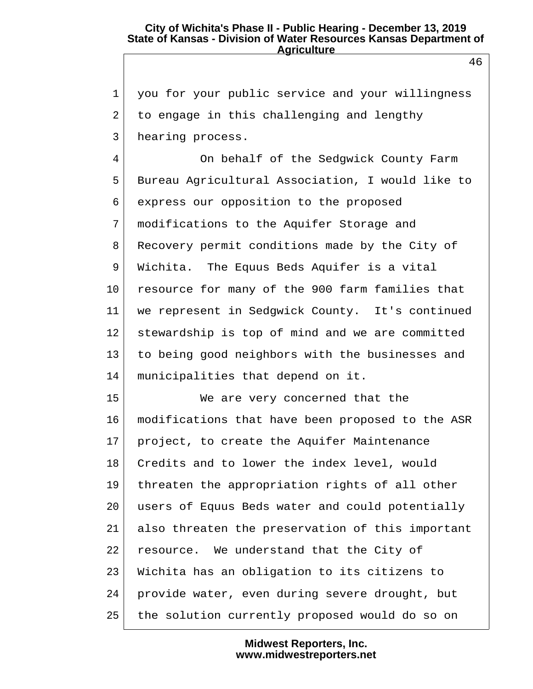1 you for your public service and your willingness 2 to engage in this challenging and lengthy 3 hearing process.

 4 On behalf of the Sedgwick County Farm 5 Bureau Agricultural Association, I would like to 6 express our opposition to the proposed 7 modifications to the Aquifer Storage and 8 Recovery permit conditions made by the City of 9 Wichita. The Equus Beds Aquifer is a vital 10 resource for many of the 900 farm families that 11 we represent in Sedgwick County. It's continued 12 stewardship is top of mind and we are committed 13 to being good neighbors with the businesses and 14 municipalities that depend on it.

15 We are very concerned that the 16 modifications that have been proposed to the ASR 17 project, to create the Aquifer Maintenance 18 Credits and to lower the index level, would 19 threaten the appropriation rights of all other 20 users of Equus Beds water and could potentially 21 also threaten the preservation of this important 22 resource. We understand that the City of 23 Wichita has an obligation to its citizens to 24 provide water, even during severe drought, but 25 the solution currently proposed would do so on

> **Midwest Reporters, Inc. www.midwestreporters.net**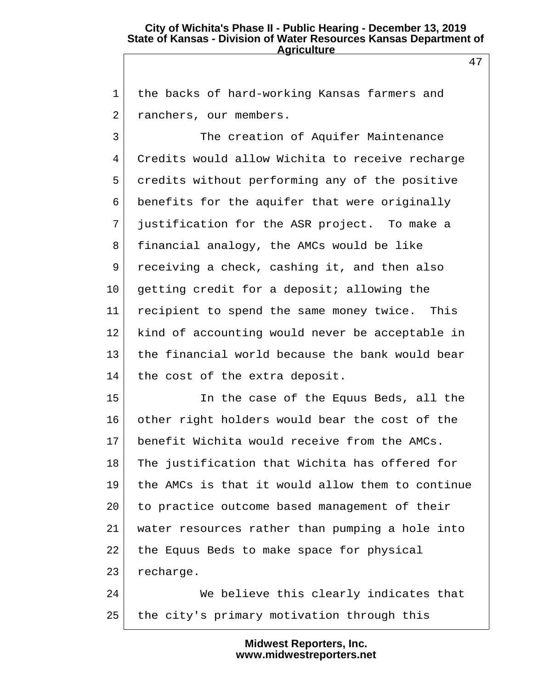1 the backs of hard-working Kansas farmers and 2 ranchers, our members.

3 The creation of Aquifer Maintenance 4 Credits would allow Wichita to receive recharge 5 credits without performing any of the positive 6 benefits for the aquifer that were originally 7 justification for the ASR project. To make a 8 financial analogy, the AMCs would be like 9 receiving a check, cashing it, and then also 10 getting credit for a deposit; allowing the 11 recipient to spend the same money twice. This 12 kind of accounting would never be acceptable in 13 the financial world because the bank would bear 14 the cost of the extra deposit.

15 In the case of the Equus Beds, all the 16 other right holders would bear the cost of the 17 benefit Wichita would receive from the AMCs. 18 The justification that Wichita has offered for 19 the AMCs is that it would allow them to continue 20 to practice outcome based management of their 21 water resources rather than pumping a hole into 22 the Equus Beds to make space for physical 23 recharge.

24 We believe this clearly indicates that 25 the city's primary motivation through this

> **Midwest Reporters, Inc. www.midwestreporters.net**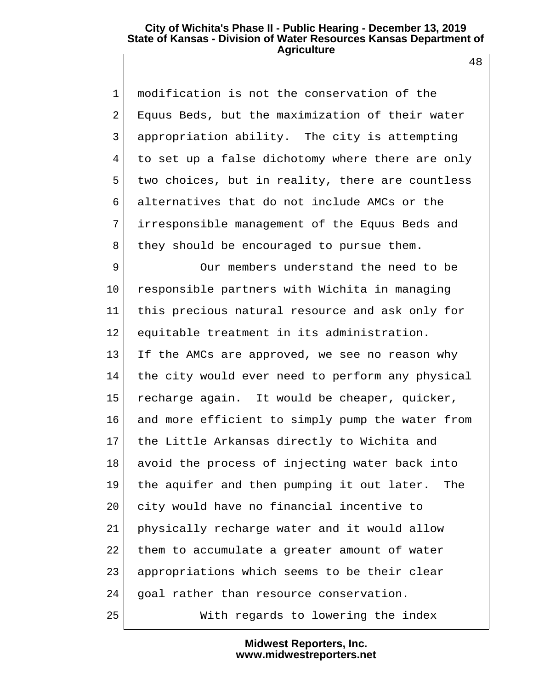48

| $\mathbf{1}$ | modification is not the conservation of the      |  |
|--------------|--------------------------------------------------|--|
| 2            | Equus Beds, but the maximization of their water  |  |
| $\mathsf{3}$ | appropriation ability. The city is attempting    |  |
| 4            | to set up a false dichotomy where there are only |  |
| 5            | two choices, but in reality, there are countless |  |
| 6            | alternatives that do not include AMCs or the     |  |
| 7            | irresponsible management of the Equus Beds and   |  |
| 8            | they should be encouraged to pursue them.        |  |
| 9            | Our members understand the need to be            |  |
| $10 \,$      | responsible partners with Wichita in managing    |  |
| 11           | this precious natural resource and ask only for  |  |
| 12           | equitable treatment in its administration.       |  |
| 13           | If the AMCs are approved, we see no reason why   |  |
| 14           | the city would ever need to perform any physical |  |
| 15           | recharge again. It would be cheaper, quicker,    |  |
| 16           | and more efficient to simply pump the water from |  |
| 17           | the Little Arkansas directly to Wichita and      |  |
| 18           | avoid the process of injecting water back into   |  |
| 19           | the aquifer and then pumping it out later. The   |  |
| 20           | city would have no financial incentive to        |  |
| 21           | physically recharge water and it would allow     |  |
| 22           | them to accumulate a greater amount of water     |  |
| 23           | appropriations which seems to be their clear     |  |
| 24           | goal rather than resource conservation.          |  |
| 25           | With regards to lowering the index               |  |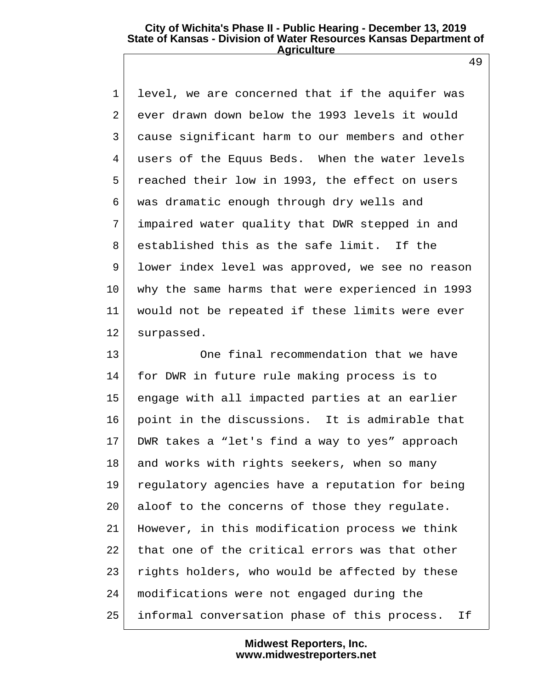1 level, we are concerned that if the aquifer was 2 ever drawn down below the 1993 levels it would 3 cause significant harm to our members and other 4 users of the Equus Beds. When the water levels 5 reached their low in 1993, the effect on users 6 was dramatic enough through dry wells and 7 impaired water quality that DWR stepped in and 8 established this as the safe limit. If the 9 lower index level was approved, we see no reason 10 why the same harms that were experienced in 1993 11 would not be repeated if these limits were ever 12 surpassed.

13 One final recommendation that we have 14 for DWR in future rule making process is to 15 engage with all impacted parties at an earlier 16 point in the discussions. It is admirable that 17 DWR takes a "let's find a way to yes" approach 18 and works with rights seekers, when so many 19 regulatory agencies have a reputation for being 20 aloof to the concerns of those they regulate. 21 However, in this modification process we think 22 that one of the critical errors was that other 23 rights holders, who would be affected by these 24 modifications were not engaged during the 25 informal conversation phase of this process. If

> **Midwest Reporters, Inc. www.midwestreporters.net**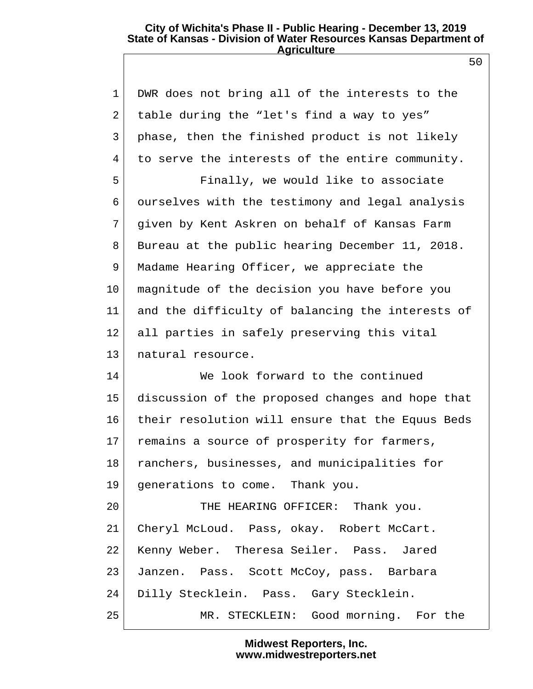50

 1 DWR does not bring all of the interests to the 2 table during the "let's find a way to yes" 3 phase, then the finished product is not likely 4 to serve the interests of the entire community. 5 Finally, we would like to associate 6 ourselves with the testimony and legal analysis 7 given by Kent Askren on behalf of Kansas Farm 8 Bureau at the public hearing December 11, 2018. 9 Madame Hearing Officer, we appreciate the 10 magnitude of the decision you have before you 11 and the difficulty of balancing the interests of 12 all parties in safely preserving this vital 13 | natural resource. 14 We look forward to the continued 15 discussion of the proposed changes and hope that 16 their resolution will ensure that the Equus Beds 17 remains a source of prosperity for farmers, 18 ranchers, businesses, and municipalities for 19 generations to come. Thank you. 20 THE HEARING OFFICER: Thank you. 21 Cheryl McLoud. Pass, okay. Robert McCart. 22 Kenny Weber. Theresa Seiler. Pass. Jared 23 Janzen. Pass. Scott McCoy, pass. Barbara 24 Dilly Stecklein. Pass. Gary Stecklein. 25 MR. STECKLEIN: Good morning. For the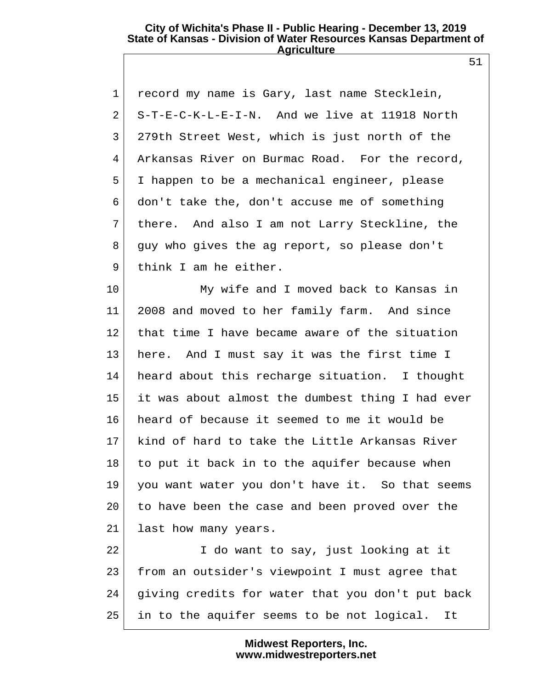1 record my name is Gary, last name Stecklein,  $2$  S-T-E-C-K-L-E-I-N. And we live at 11918 North 3 279th Street West, which is just north of the 4 Arkansas River on Burmac Road. For the record, 5 I happen to be a mechanical engineer, please 6 don't take the, don't accuse me of something 7 there. And also I am not Larry Steckline, the 8 guy who gives the ag report, so please don't 9 think I am he either.

10 My wife and I moved back to Kansas in 11 2008 and moved to her family farm. And since 12 that time I have became aware of the situation 13 here. And I must say it was the first time I 14 heard about this recharge situation. I thought 15 it was about almost the dumbest thing I had ever 16 heard of because it seemed to me it would be 17 kind of hard to take the Little Arkansas River  $18$  to put it back in to the aquifer because when 19 you want water you don't have it. So that seems 20 to have been the case and been proved over the 21 last how many years.

22 I do want to say, just looking at it 23 from an outsider's viewpoint I must agree that 24 giving credits for water that you don't put back 25 in to the aquifer seems to be not logical. It

# **Midwest Reporters, Inc. www.midwestreporters.net**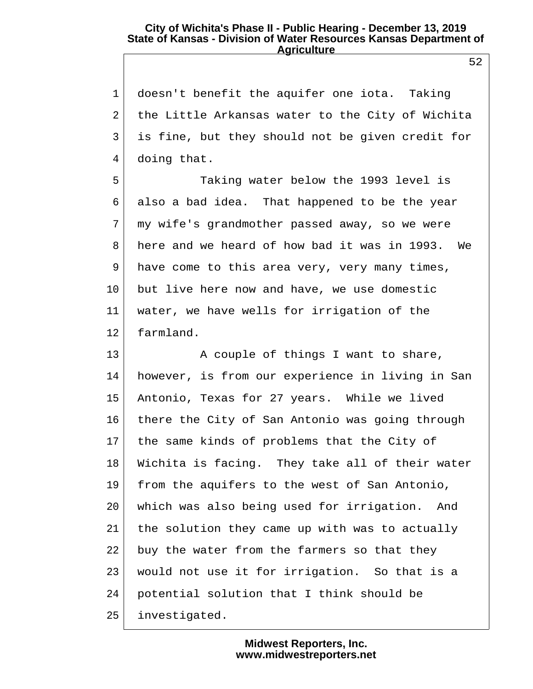1 doesn't benefit the aquifer one iota. Taking 2 the Little Arkansas water to the City of Wichita 3 is fine, but they should not be given credit for 4 doing that.

 5 Taking water below the 1993 level is 6 also a bad idea. That happened to be the year 7 my wife's grandmother passed away, so we were 8 here and we heard of how bad it was in 1993. We  $9$  have come to this area very, very many times, 10 but live here now and have, we use domestic 11 water, we have wells for irrigation of the 12 farmland.

13 A couple of things I want to share, 14 however, is from our experience in living in San 15 Antonio, Texas for 27 years. While we lived 16 there the City of San Antonio was going through 17 the same kinds of problems that the City of 18 Wichita is facing. They take all of their water 19 from the aquifers to the west of San Antonio, 20 which was also being used for irrigation. And 21 the solution they came up with was to actually 22 buy the water from the farmers so that they 23 would not use it for irrigation. So that is a 24 potential solution that I think should be 25 investigated.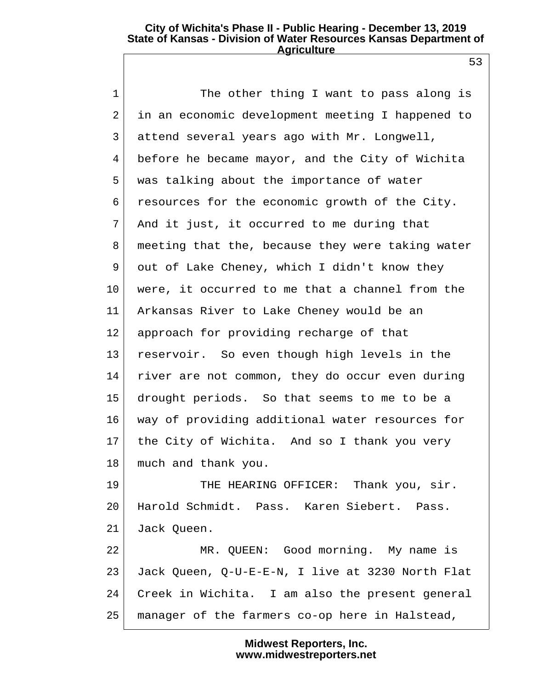53

1 The other thing I want to pass along is 2 in an economic development meeting I happened to 3 attend several years ago with Mr. Longwell, 4 before he became mayor, and the City of Wichita 5 was talking about the importance of water 6 resources for the economic growth of the City. 7 And it just, it occurred to me during that 8 meeting that the, because they were taking water 9 out of Lake Cheney, which I didn't know they 10 were, it occurred to me that a channel from the 11 Arkansas River to Lake Cheney would be an 12 approach for providing recharge of that 13 reservoir. So even though high levels in the 14 river are not common, they do occur even during 15 drought periods. So that seems to me to be a 16 way of providing additional water resources for 17 | the City of Wichita. And so I thank you very 18 much and thank you. 19 THE HEARING OFFICER: Thank you, sir. 20 Harold Schmidt. Pass. Karen Siebert. Pass. 21 Jack Queen. 22 MR. QUEEN: Good morning. My name is 23 Jack Queen, Q-U-E-E-N, I live at 3230 North Flat 24 Creek in Wichita. I am also the present general 25 manager of the farmers co-op here in Halstead,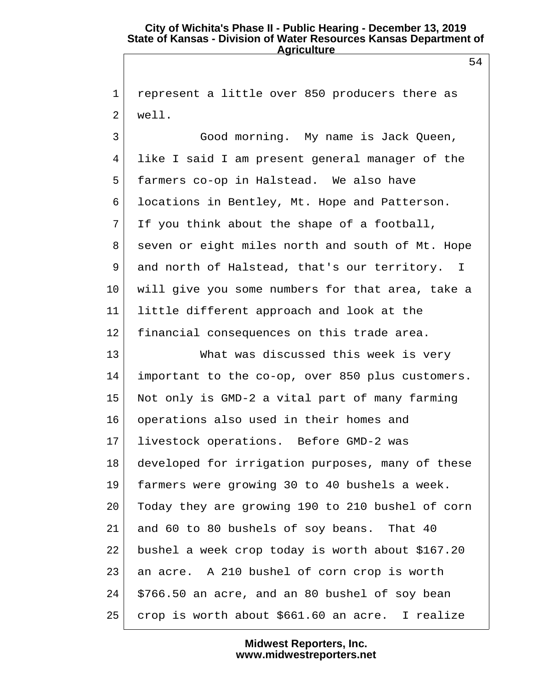1 represent a little over 850 producers there as 2 well.

3 Good morning. My name is Jack Oueen, 4 like I said I am present general manager of the 5 farmers co-op in Halstead. We also have 6 locations in Bentley, Mt. Hope and Patterson.  $7$  If you think about the shape of a football, 8 seven or eight miles north and south of Mt. Hope 9 and north of Halstead, that's our territory. I 10 will give you some numbers for that area, take a 11 little different approach and look at the 12 financial consequences on this trade area.

13 What was discussed this week is very 14 important to the co-op, over 850 plus customers. 15 Not only is GMD-2 a vital part of many farming 16 operations also used in their homes and 17 livestock operations. Before GMD-2 was 18 developed for irrigation purposes, many of these 19 farmers were growing 30 to 40 bushels a week. 20 Today they are growing 190 to 210 bushel of corn 21 and 60 to 80 bushels of soy beans. That 40 22 bushel a week crop today is worth about \$167.20 23 an acre. A 210 bushel of corn crop is worth  $24$  \$766.50 an acre, and an 80 bushel of soy bean 25 crop is worth about \$661.60 an acre. I realize

> **Midwest Reporters, Inc. www.midwestreporters.net**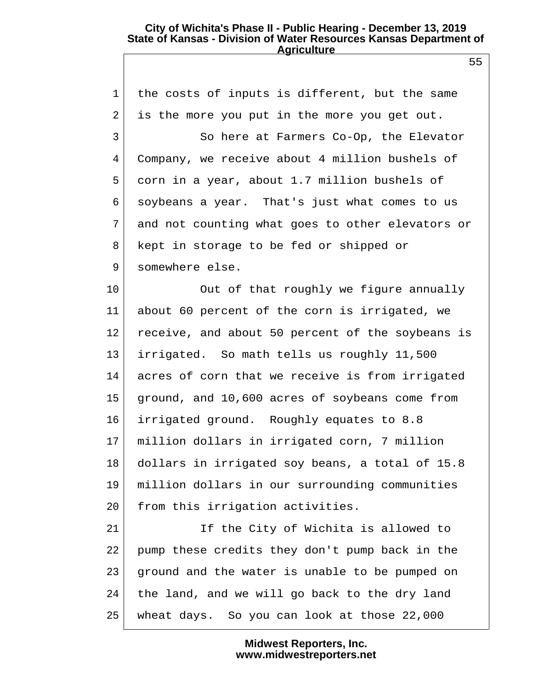1 the costs of inputs is different, but the same 2 is the more you put in the more you get out. 3 So here at Farmers Co-Op, the Elevator 4 Company, we receive about 4 million bushels of 5 corn in a year, about 1.7 million bushels of 6 soybeans a year. That's just what comes to us 7 and not counting what goes to other elevators or 8 kept in storage to be fed or shipped or 9 somewhere else. 10 Out of that roughly we figure annually 11 about 60 percent of the corn is irrigated, we 12 receive, and about 50 percent of the soybeans is 13 irrigated. So math tells us roughly 11,500 14 acres of corn that we receive is from irrigated 15 ground, and 10,600 acres of soybeans come from 16 irrigated ground. Roughly equates to 8.8 17 million dollars in irrigated corn, 7 million 18 dollars in irrigated soy beans, a total of 15.8 19 million dollars in our surrounding communities 20 from this irrigation activities. 21 If the City of Wichita is allowed to 22 pump these credits they don't pump back in the 23 ground and the water is unable to be pumped on  $24$  the land, and we will go back to the dry land 25 wheat days. So you can look at those 22,000

### **Midwest Reporters, Inc. www.midwestreporters.net**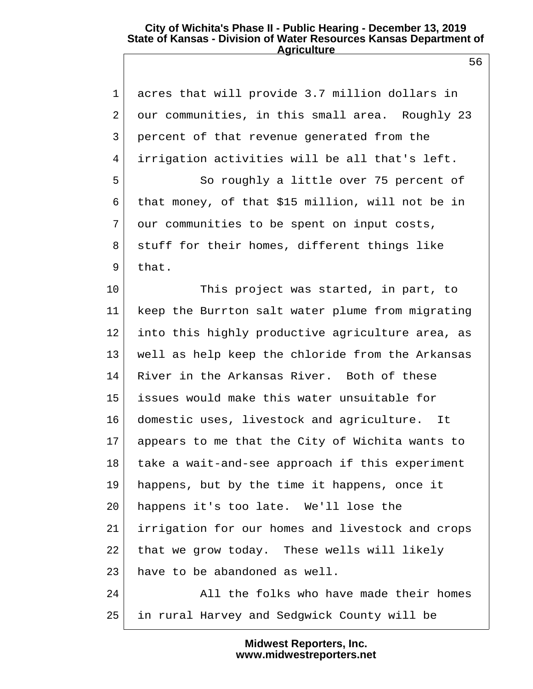1 acres that will provide 3.7 million dollars in 2 our communities, in this small area. Roughly 23 3 percent of that revenue generated from the 4 irrigation activities will be all that's left. 5 So roughly a little over 75 percent of 6 that money, of that \$15 million, will not be in 7 our communities to be spent on input costs, 8 stuff for their homes, different things like  $9$  that. 10 This project was started, in part, to 11 keep the Burrton salt water plume from migrating 12 into this highly productive agriculture area, as 13 well as help keep the chloride from the Arkansas 14 River in the Arkansas River. Both of these 15 issues would make this water unsuitable for 16 domestic uses, livestock and agriculture. It 17 appears to me that the City of Wichita wants to 18 take a wait-and-see approach if this experiment 19 happens, but by the time it happens, once it 20 happens it's too late. We'll lose the 21 irrigation for our homes and livestock and crops 22 that we grow today. These wells will likely 23 have to be abandoned as well. 24 All the folks who have made their homes 25 in rural Harvey and Sedgwick County will be

> **Midwest Reporters, Inc. www.midwestreporters.net**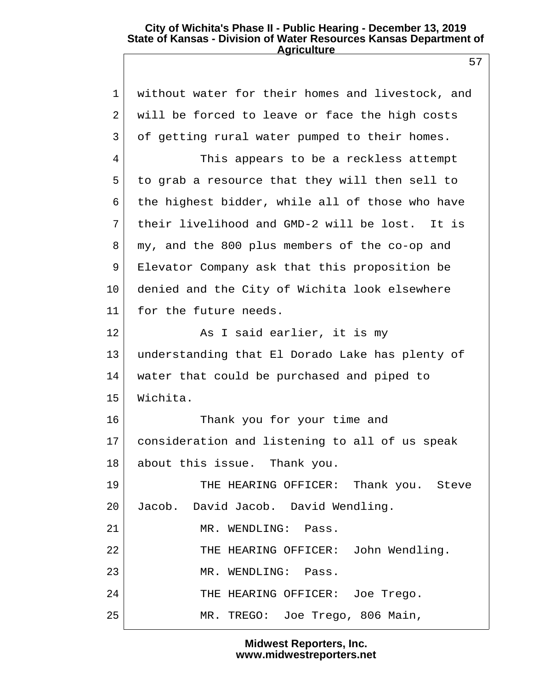57

 1 without water for their homes and livestock, and 2 will be forced to leave or face the high costs 3 of getting rural water pumped to their homes. 4 This appears to be a reckless attempt 5 to grab a resource that they will then sell to 6 the highest bidder, while all of those who have 7 their livelihood and GMD-2 will be lost. It is 8 my, and the 800 plus members of the co-op and 9 Elevator Company ask that this proposition be 10 denied and the City of Wichita look elsewhere 11 for the future needs. 12 As I said earlier, it is my 13 understanding that El Dorado Lake has plenty of 14 water that could be purchased and piped to 15 Wichita. 16 Thank you for your time and 17 consideration and listening to all of us speak 18 about this issue. Thank you. 19 THE HEARING OFFICER: Thank you. Steve 20 Jacob. David Jacob. David Wendling. 21 MR. WENDLING: Pass. 22 THE HEARING OFFICER: John Wendling. 23 MR. WENDLING: Pass. 24 THE HEARING OFFICER: Joe Trego. 25 MR. TREGO: Joe Trego, 806 Main,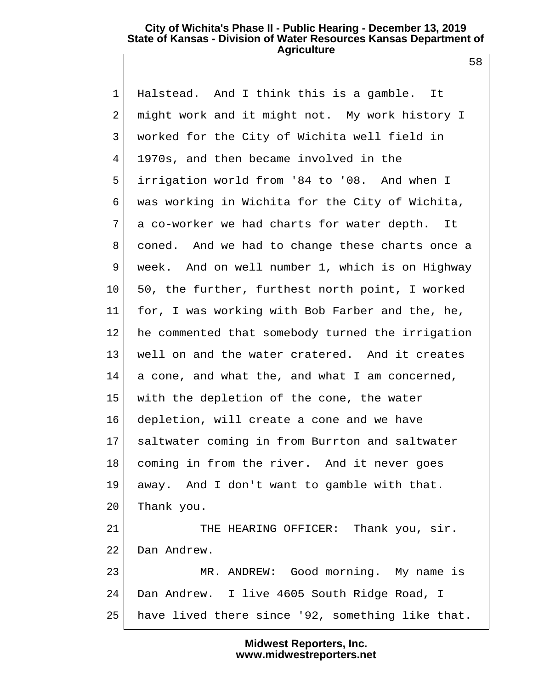58

 1 Halstead. And I think this is a gamble. It 2 might work and it might not. My work history I 3 worked for the City of Wichita well field in 4 1970s, and then became involved in the 5 irrigation world from '84 to '08. And when I 6 was working in Wichita for the City of Wichita, 7 a co-worker we had charts for water depth. It 8 coned. And we had to change these charts once a 9 week. And on well number 1, which is on Highway 10 50, the further, furthest north point, I worked 11 for, I was working with Bob Farber and the, he, 12 he commented that somebody turned the irrigation 13 well on and the water cratered. And it creates  $14$  a cone, and what the, and what I am concerned, 15 with the depletion of the cone, the water 16 depletion, will create a cone and we have 17 saltwater coming in from Burrton and saltwater 18 coming in from the river. And it never goes 19 away. And I don't want to gamble with that. 20 Thank you. 21 THE HEARING OFFICER: Thank you, sir. 22 Dan Andrew. 23 MR. ANDREW: Good morning. My name is 24 Dan Andrew. I live 4605 South Ridge Road, I 25 have lived there since '92, something like that.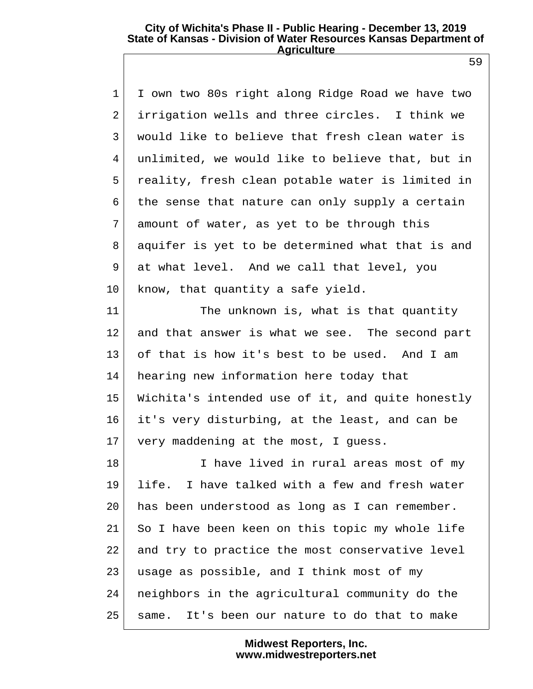1 I own two 80s right along Ridge Road we have two 2 irrigation wells and three circles. I think we 3 would like to believe that fresh clean water is 4 unlimited, we would like to believe that, but in 5 reality, fresh clean potable water is limited in 6 the sense that nature can only supply a certain 7 amount of water, as yet to be through this 8 | aquifer is yet to be determined what that is and 9 at what level. And we call that level, you 10 know, that quantity a safe yield.

11 The unknown is, what is that quantity 12 and that answer is what we see. The second part 13 of that is how it's best to be used. And I am 14 hearing new information here today that 15 Wichita's intended use of it, and quite honestly 16 it's very disturbing, at the least, and can be 17 very maddening at the most, I guess.

18 I have lived in rural areas most of my 19 life. I have talked with a few and fresh water 20 has been understood as long as I can remember. 21 So I have been keen on this topic my whole life 22 and try to practice the most conservative level 23 usage as possible, and I think most of my 24 neighbors in the agricultural community do the 25 same. It's been our nature to do that to make

> **Midwest Reporters, Inc. www.midwestreporters.net**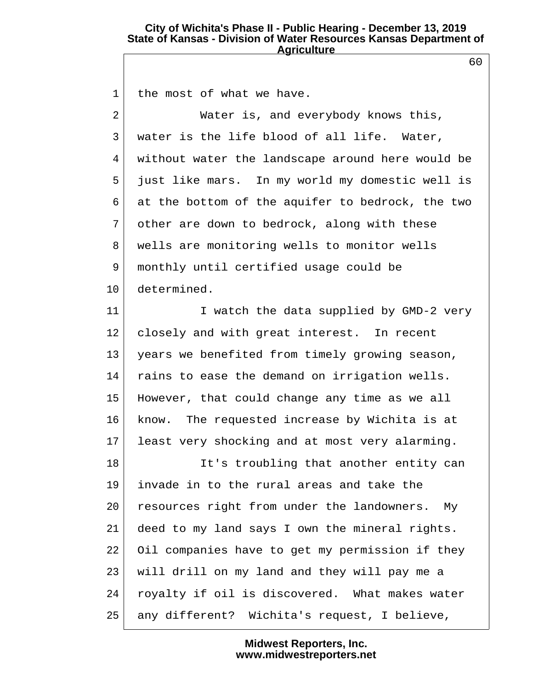60

| $\mathbf{1}$   | the most of what we have.                        |
|----------------|--------------------------------------------------|
| $\overline{a}$ | Water is, and everybody knows this,              |
| 3              | water is the life blood of all life. Water,      |
| 4              | without water the landscape around here would be |
| 5              | just like mars. In my world my domestic well is  |
| 6              | at the bottom of the aquifer to bedrock, the two |
| 7              | other are down to bedrock, along with these      |
| 8              | wells are monitoring wells to monitor wells      |
| 9              | monthly until certified usage could be           |
| 10             | determined.                                      |
| 11             | I watch the data supplied by GMD-2 very          |
| 12             | closely and with great interest. In recent       |
| 13             | years we benefited from timely growing season,   |
| 14             | rains to ease the demand on irrigation wells.    |
| 15             | However, that could change any time as we all    |
| 16             | know. The requested increase by Wichita is at    |
| 17             | least very shocking and at most very alarming.   |
| 18             | It's troubling that another entity can           |
| 19             | invade in to the rural areas and take the        |
| 20             | resources right from under the landowners. My    |
| 21             | deed to my land says I own the mineral rights.   |
| 22             | Oil companies have to get my permission if they  |
| 23             | will drill on my land and they will pay me a     |
| 24             | royalty if oil is discovered. What makes water   |
| 25             | any different? Wichita's request, I believe,     |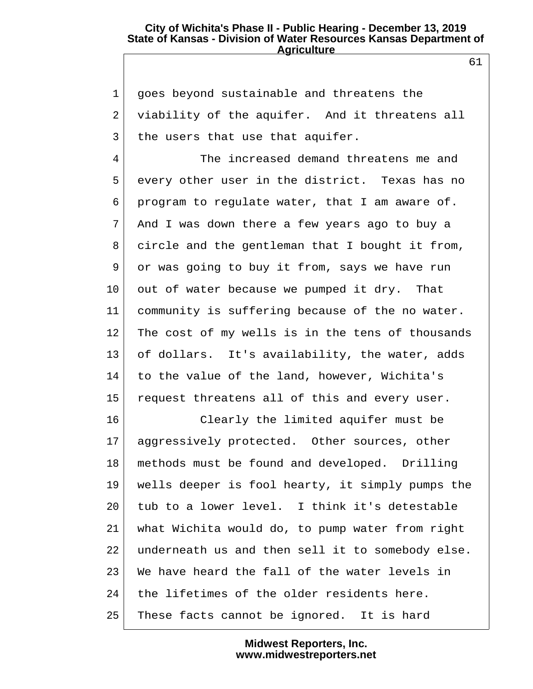1 goes beyond sustainable and threatens the 2 viability of the aquifer. And it threatens all 3 the users that use that aquifer.

 4 The increased demand threatens me and 5 every other user in the district. Texas has no 6 program to regulate water, that I am aware of. 7 And I was down there a few years ago to buy a 8 circle and the gentleman that I bought it from, 9 or was going to buy it from, says we have run 10 out of water because we pumped it dry. That 11 community is suffering because of the no water. 12 The cost of my wells is in the tens of thousands 13 of dollars. It's availability, the water, adds 14 to the value of the land, however, Wichita's 15 request threatens all of this and every user.

16 Clearly the limited aquifer must be 17 aggressively protected. Other sources, other 18 methods must be found and developed. Drilling 19 wells deeper is fool hearty, it simply pumps the 20 tub to a lower level. I think it's detestable 21 what Wichita would do, to pump water from right 22 underneath us and then sell it to somebody else. 23 We have heard the fall of the water levels in 24 the lifetimes of the older residents here. 25 These facts cannot be ignored. It is hard

> **Midwest Reporters, Inc. www.midwestreporters.net**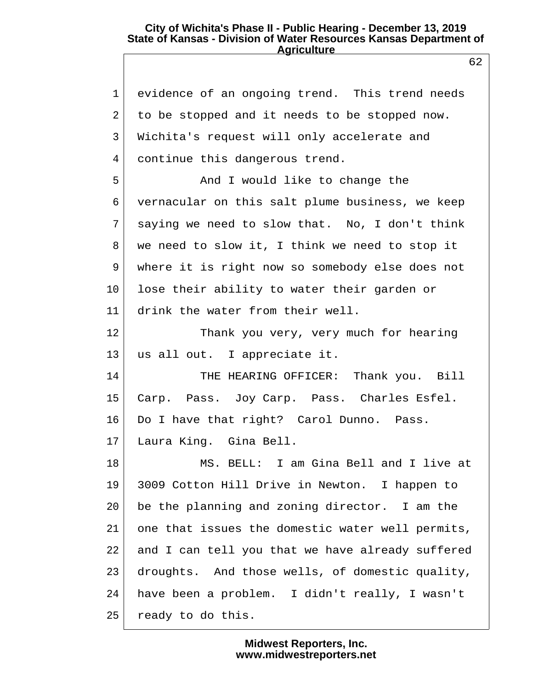62

 1 evidence of an ongoing trend. This trend needs 2 to be stopped and it needs to be stopped now. 3 Wichita's request will only accelerate and 4 continue this dangerous trend. 5 And I would like to change the 6 vernacular on this salt plume business, we keep 7 saying we need to slow that. No, I don't think 8 we need to slow it, I think we need to stop it 9 where it is right now so somebody else does not 10 lose their ability to water their garden or 11 drink the water from their well. 12 Thank you very, very much for hearing 13 us all out. I appreciate it. 14 THE HEARING OFFICER: Thank you. Bill 15 Carp. Pass. Joy Carp. Pass. Charles Esfel. 16 Do I have that right? Carol Dunno. Pass. 17 Laura King. Gina Bell. 18 MS. BELL: I am Gina Bell and I live at 19 3009 Cotton Hill Drive in Newton. I happen to 20 be the planning and zoning director. I am the 21 one that issues the domestic water well permits, 22 and I can tell you that we have already suffered 23 droughts. And those wells, of domestic quality, 24 have been a problem. I didn't really, I wasn't 25 ready to do this.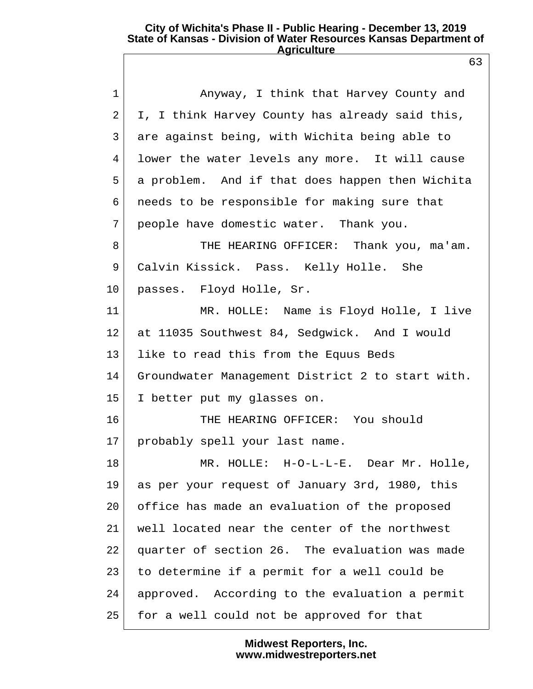| $\mathbf 1$    | Anyway, I think that Harvey County and           |
|----------------|--------------------------------------------------|
| $\overline{2}$ | I, I think Harvey County has already said this,  |
| 3              | are against being, with Wichita being able to    |
| 4              | lower the water levels any more. It will cause   |
| 5              | a problem. And if that does happen then Wichita  |
| 6              | needs to be responsible for making sure that     |
| 7              | people have domestic water. Thank you.           |
| 8              | THE HEARING OFFICER: Thank you, ma'am.           |
| 9              | Calvin Kissick. Pass. Kelly Holle. She           |
| 10             | passes. Floyd Holle, Sr.                         |
| 11             | MR. HOLLE: Name is Floyd Holle, I live           |
| 12             | at 11035 Southwest 84, Sedgwick. And I would     |
| 13             | like to read this from the Equus Beds            |
| 14             | Groundwater Management District 2 to start with. |
| 15             | I better put my glasses on.                      |
| 16             | THE HEARING OFFICER: You should                  |
| 17             | probably spell your last name.                   |
| 18             | MR. HOLLE: H-O-L-L-E. Dear Mr. Holle             |
| 19             | as per your request of January 3rd, 1980, this   |
| 20             | office has made an evaluation of the proposed    |
| 21             | well located near the center of the northwest    |
| 22             | quarter of section 26. The evaluation was made   |
| 23             | to determine if a permit for a well could be     |
| 24             | approved. According to the evaluation a permit   |
| 25             | for a well could not be approved for that        |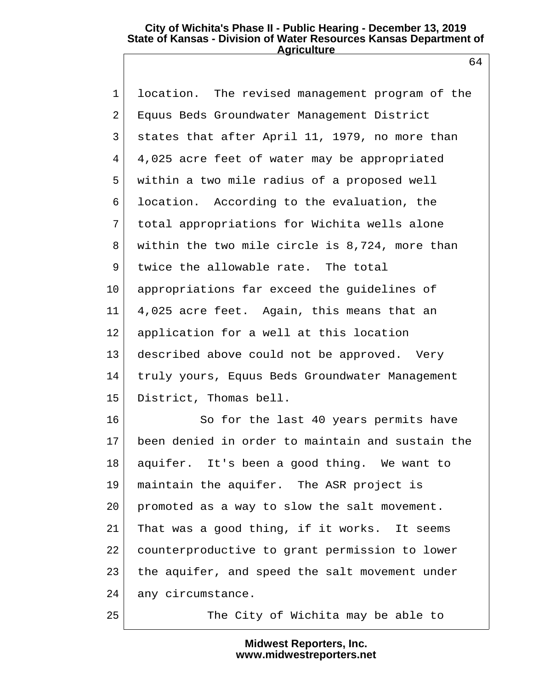1 location. The revised management program of the 2 Equus Beds Groundwater Management District 3 states that after April 11, 1979, no more than 4 4,025 acre feet of water may be appropriated 5 within a two mile radius of a proposed well 6 location. According to the evaluation, the 7 total appropriations for Wichita wells alone 8 within the two mile circle is 8,724, more than 9 twice the allowable rate. The total 10 appropriations far exceed the guidelines of 11 4,025 acre feet. Again, this means that an 12 application for a well at this location 13 described above could not be approved. Very 14 truly yours, Equus Beds Groundwater Management 15 District, Thomas bell.

16 So for the last 40 years permits have 17 been denied in order to maintain and sustain the 18 aquifer. It's been a good thing. We want to 19 maintain the aquifer. The ASR project is 20 promoted as a way to slow the salt movement. 21 That was a good thing, if it works. It seems 22 counterproductive to grant permission to lower 23 the aquifer, and speed the salt movement under 24 any circumstance.

25 The City of Wichita may be able to

**Midwest Reporters, Inc. www.midwestreporters.net**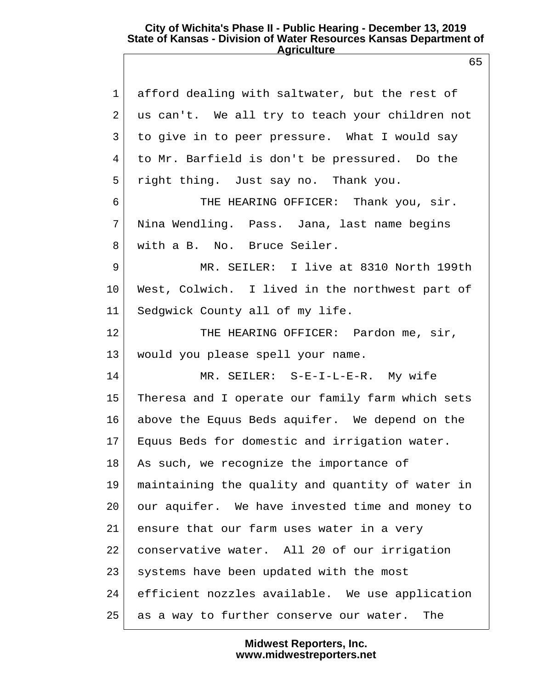| $\mathbf 1$    | afford dealing with saltwater, but the rest of   |
|----------------|--------------------------------------------------|
| $\overline{2}$ | us can't. We all try to teach your children not  |
| 3              | to give in to peer pressure. What I would say    |
| 4              | to Mr. Barfield is don't be pressured. Do the    |
| 5              | right thing. Just say no. Thank you.             |
| 6              | THE HEARING OFFICER: Thank you, sir.             |
| 7              | Nina Wendling. Pass. Jana, last name begins      |
| 8              | with a B. No. Bruce Seiler.                      |
| 9              | MR. SEILER: I live at 8310 North 199th           |
| $10 \,$        | West, Colwich. I lived in the northwest part of  |
| 11             | Sedgwick County all of my life.                  |
| 12             | THE HEARING OFFICER: Pardon me, sir,             |
| 13             | would you please spell your name.                |
| 14             | MR. SEILER: S-E-I-L-E-R. My wife                 |
| 15             | Theresa and I operate our family farm which sets |
| 16             | above the Equus Beds aquifer. We depend on the   |
| 17             | Equus Beds for domestic and irrigation water.    |
| 18             | As such, we recognize the importance of          |
| 19             | maintaining the quality and quantity of water in |
| 20             | our aquifer. We have invested time and money to  |
| 21             | ensure that our farm uses water in a very        |
| 22             | conservative water. All 20 of our irrigation     |
| 23             | systems have been updated with the most          |
| 24             | efficient nozzles available. We use application  |
| 25             | as a way to further conserve our water.<br>The   |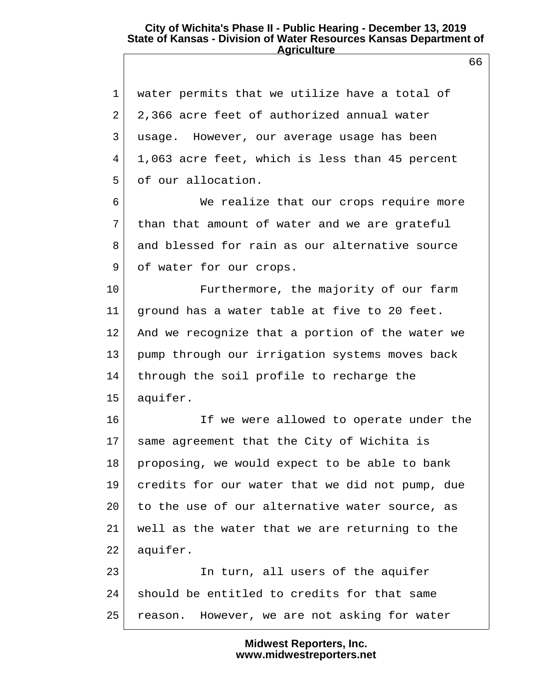1 water permits that we utilize have a total of 2 2,366 acre feet of authorized annual water 3 usage. However, our average usage has been 4 1,063 acre feet, which is less than 45 percent 5 of our allocation.

 6 We realize that our crops require more 7 than that amount of water and we are grateful 8 and blessed for rain as our alternative source 9 of water for our crops.

10 Furthermore, the majority of our farm 11 ground has a water table at five to 20 feet. 12 And we recognize that a portion of the water we 13 pump through our irrigation systems moves back 14 through the soil profile to recharge the 15 aquifer.

16 If we were allowed to operate under the 17 same agreement that the City of Wichita is  $18$  proposing, we would expect to be able to bank 19 credits for our water that we did not pump, due 20 to the use of our alternative water source, as 21 well as the water that we are returning to the 22 aquifer.

23 In turn, all users of the aquifer 24 should be entitled to credits for that same 25 reason. However, we are not asking for water

> **Midwest Reporters, Inc. www.midwestreporters.net**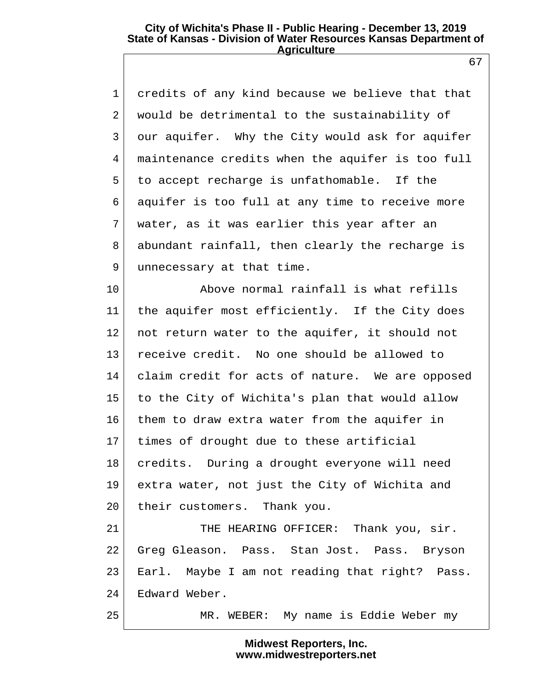1 credits of any kind because we believe that that 2 would be detrimental to the sustainability of 3 our aquifer. Why the City would ask for aquifer 4 maintenance credits when the aquifer is too full 5 to accept recharge is unfathomable. If the 6 aquifer is too full at any time to receive more 7 water, as it was earlier this year after an 8 abundant rainfall, then clearly the recharge is 9 unnecessary at that time.

10 Above normal rainfall is what refills 11 the aquifer most efficiently. If the City does 12 | not return water to the aquifer, it should not 13 receive credit. No one should be allowed to 14 claim credit for acts of nature. We are opposed 15 to the City of Wichita's plan that would allow 16 them to draw extra water from the aquifer in 17 times of drought due to these artificial 18 credits. During a drought everyone will need 19 extra water, not just the City of Wichita and 20 their customers. Thank you. 21 THE HEARING OFFICER: Thank you, sir. 22 Greg Gleason. Pass. Stan Jost. Pass. Bryson

23 Earl. Maybe I am not reading that right? Pass. 24 Edward Weber.

25 MR. WEBER: My name is Eddie Weber my

## **Midwest Reporters, Inc. www.midwestreporters.net**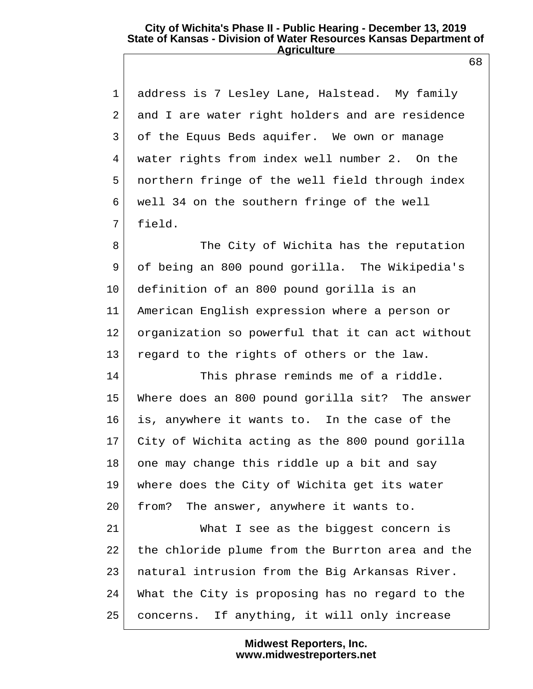1 address is 7 Lesley Lane, Halstead. My family 2 and I are water right holders and are residence 3 of the Equus Beds aquifer. We own or manage 4 water rights from index well number 2. On the 5 northern fringe of the well field through index 6 well 34 on the southern fringe of the well 7 field.

8 The City of Wichita has the reputation 9 of being an 800 pound gorilla. The Wikipedia's 10 definition of an 800 pound gorilla is an 11 American English expression where a person or 12 organization so powerful that it can act without 13 regard to the rights of others or the law.

14 This phrase reminds me of a riddle. 15 Where does an 800 pound gorilla sit? The answer 16 is, anywhere it wants to. In the case of the 17 City of Wichita acting as the 800 pound gorilla 18 one may change this riddle up a bit and say 19 where does the City of Wichita get its water 20 from? The answer, anywhere it wants to.

21 What I see as the biggest concern is 22 the chloride plume from the Burrton area and the 23 natural intrusion from the Big Arkansas River. 24 What the City is proposing has no regard to the 25 concerns. If anything, it will only increase

> **Midwest Reporters, Inc. www.midwestreporters.net**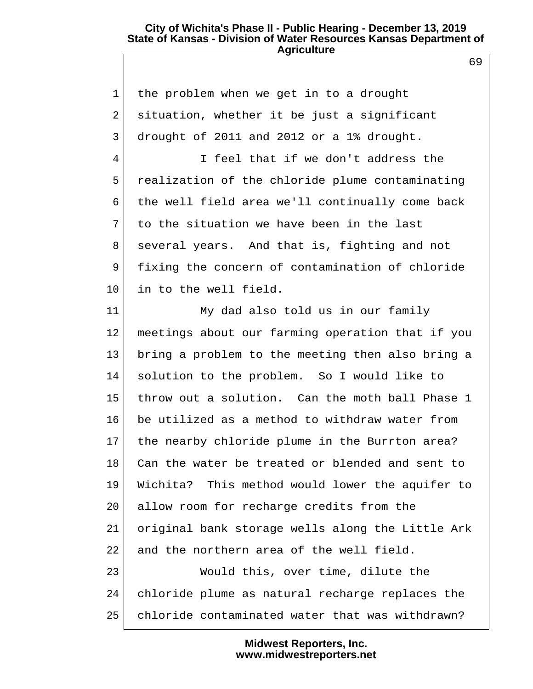69

| $\mathbf{1}$ | the problem when we get in to a drought          |
|--------------|--------------------------------------------------|
| 2            | situation, whether it be just a significant      |
| 3            | drought of 2011 and 2012 or a 1% drought.        |
| 4            | I feel that if we don't address the              |
| 5            | realization of the chloride plume contaminating  |
| 6            | the well field area we'll continually come back  |
| 7            | to the situation we have been in the last        |
| 8            | several years. And that is, fighting and not     |
| 9            | fixing the concern of contamination of chloride  |
| $10 \,$      | in to the well field.                            |
| 11           | My dad also told us in our family                |
| 12           | meetings about our farming operation that if you |
| 13           | bring a problem to the meeting then also bring a |
| 14           | solution to the problem. So I would like to      |
| 15           | throw out a solution. Can the moth ball Phase 1  |
| 16           | be utilized as a method to withdraw water from   |
| 17           | the nearby chloride plume in the Burrton area?   |
| 18           | Can the water be treated or blended and sent to  |
| 19           | Wichita? This method would lower the aquifer to  |
| 20           | allow room for recharge credits from the         |
| 21           | original bank storage wells along the Little Ark |
| 22           | and the northern area of the well field.         |
| 23           | Would this, over time, dilute the                |
| 24           | chloride plume as natural recharge replaces the  |
| 25           | chloride contaminated water that was withdrawn?  |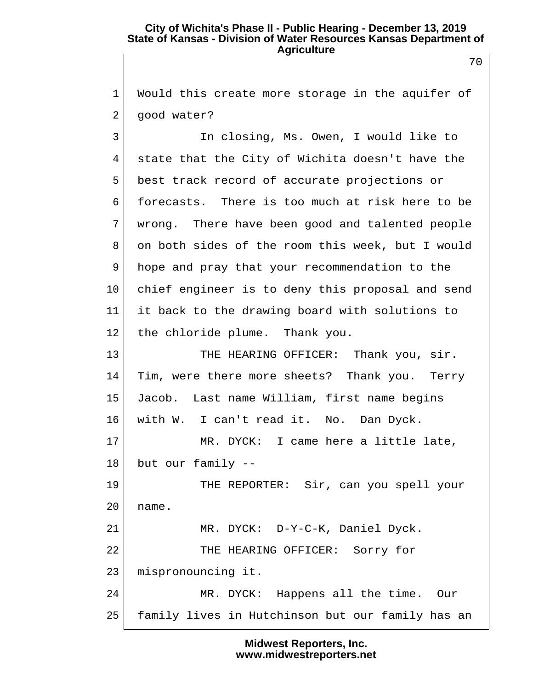1| Would this create more storage in the aquifer of 2 good water?

 3 In closing, Ms. Owen, I would like to 4 state that the City of Wichita doesn't have the 5 best track record of accurate projections or 6 forecasts. There is too much at risk here to be 7 wrong. There have been good and talented people 8 on both sides of the room this week, but I would 9 hope and pray that your recommendation to the 10 chief engineer is to deny this proposal and send 11 it back to the drawing board with solutions to 12 the chloride plume. Thank you.

13 THE HEARING OFFICER: Thank you, sir. 14 Tim, were there more sheets? Thank you. Terry 15 Jacob. Last name William, first name begins 16 with W. I can't read it. No. Dan Dyck. 17 MR. DYCK: I came here a little late, 18 but our family -- 19 THE REPORTER: Sir, can you spell your  $20$  name. 21 MR. DYCK: D-Y-C-K, Daniel Dyck.

22 THE HEARING OFFICER: Sorry for

23 mispronouncing it.

24 MR. DYCK: Happens all the time. Our 25 family lives in Hutchinson but our family has an

> **Midwest Reporters, Inc. www.midwestreporters.net**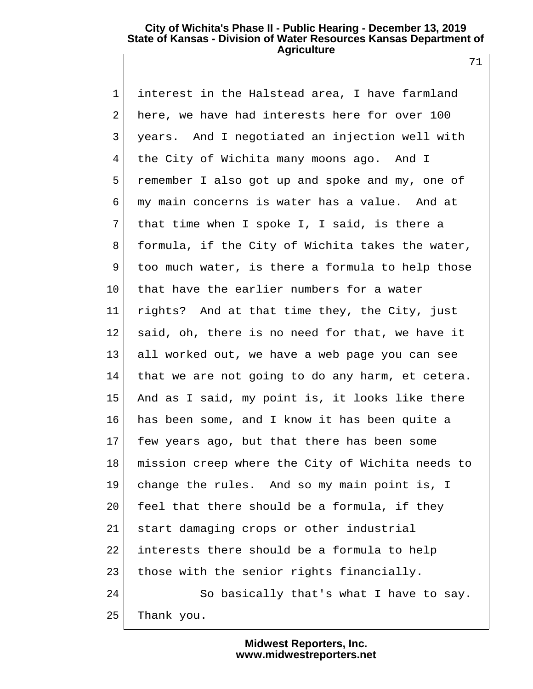71

 1 interest in the Halstead area, I have farmland 2 here, we have had interests here for over 100 3 years. And I negotiated an injection well with 4 the City of Wichita many moons ago. And I 5 remember I also got up and spoke and my, one of 6 my main concerns is water has a value. And at 7 that time when I spoke I, I said, is there a 8 formula, if the City of Wichita takes the water,  $9$  too much water, is there a formula to help those 10 that have the earlier numbers for a water 11 rights? And at that time they, the City, just 12 said, oh, there is no need for that, we have it 13 all worked out, we have a web page you can see 14 that we are not going to do any harm, et cetera. 15 And as I said, my point is, it looks like there 16 has been some, and I know it has been quite a 17 few years ago, but that there has been some 18 mission creep where the City of Wichita needs to 19 change the rules. And so my main point is, I  $20$  feel that there should be a formula, if they 21 start damaging crops or other industrial 22 interests there should be a formula to help 23 those with the senior rights financially. 24 So basically that's what I have to say. 25 Thank you.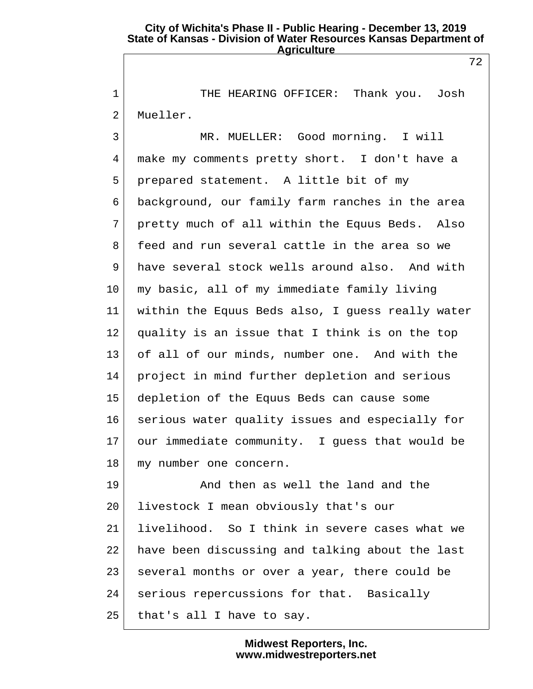1 THE HEARING OFFICER: Thank you. Josh 2 Mueller.

 3 MR. MUELLER: Good morning. I will 4 make my comments pretty short. I don't have a 5 prepared statement. A little bit of my 6 background, our family farm ranches in the area 7 pretty much of all within the Equus Beds. Also 8 feed and run several cattle in the area so we 9 have several stock wells around also. And with 10 my basic, all of my immediate family living 11 within the Equus Beds also, I guess really water  $12$  quality is an issue that I think is on the top 13 of all of our minds, number one. And with the 14 project in mind further depletion and serious 15 depletion of the Equus Beds can cause some 16 serious water quality issues and especially for 17 our immediate community. I guess that would be 18 my number one concern.

19 And then as well the land and the 20 livestock I mean obviously that's our 21 livelihood. So I think in severe cases what we 22 have been discussing and talking about the last 23 several months or over a year, there could be 24 serious repercussions for that. Basically  $25$  that's all I have to say.

> **Midwest Reporters, Inc. www.midwestreporters.net**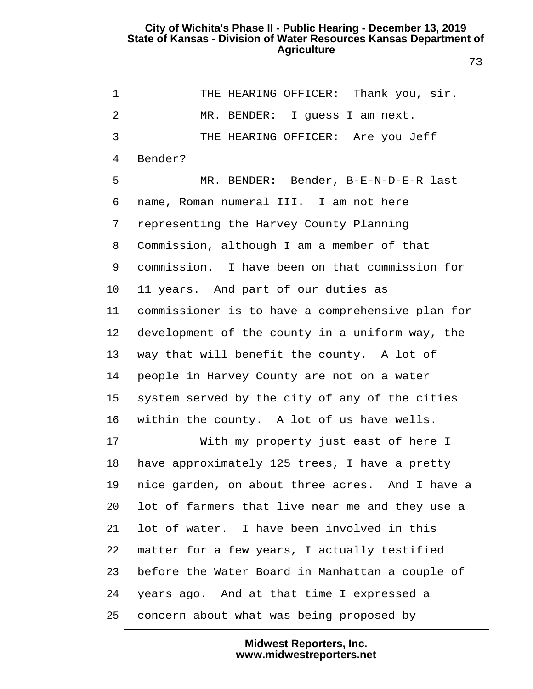73

| $\mathbf 1$ | THE HEARING OFFICER: Thank you, sir.             |
|-------------|--------------------------------------------------|
| 2           | MR. BENDER: I guess I am next.                   |
| 3           | THE HEARING OFFICER: Are you Jeff                |
| 4           | Bender?                                          |
| 5           | MR. BENDER: Bender, B-E-N-D-E-R last             |
| 6           | name, Roman numeral III. I am not here           |
| 7           | representing the Harvey County Planning          |
| 8           | Commission, although I am a member of that       |
| 9           | commission. I have been on that commission for   |
| 10          | 11 years. And part of our duties as              |
| 11          | commissioner is to have a comprehensive plan for |
| 12          | development of the county in a uniform way, the  |
| 13          | way that will benefit the county. A lot of       |
| 14          | people in Harvey County are not on a water       |
| 15          | system served by the city of any of the cities   |
| 16          | within the county. A lot of us have wells.       |
| 17          | With my property just east of here I             |
| 18          | have approximately 125 trees, I have a pretty    |
| 19          | nice garden, on about three acres. And I have a  |
| 20          | lot of farmers that live near me and they use a  |
| 21          | lot of water. I have been involved in this       |
| 22          | matter for a few years, I actually testified     |
| 23          | before the Water Board in Manhattan a couple of  |
| 24          | years ago. And at that time I expressed a        |
| 25          | concern about what was being proposed by         |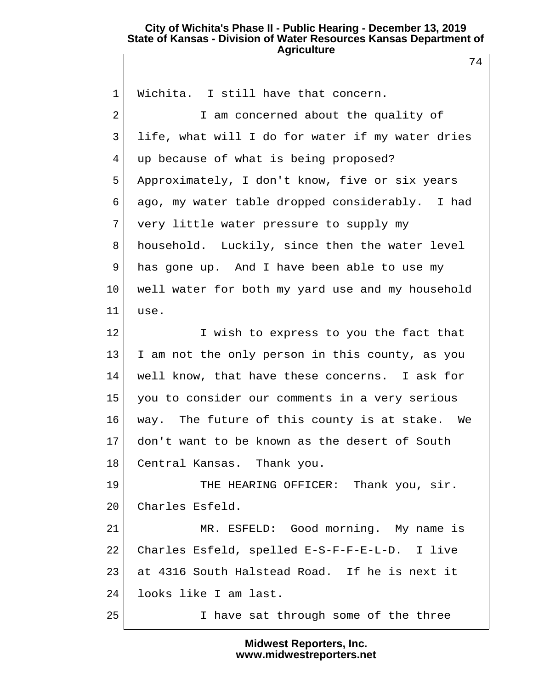74

| $\mathbf{1}$    | Wichita. I still have that concern.              |  |
|-----------------|--------------------------------------------------|--|
| 2               | I am concerned about the quality of              |  |
| 3               | life, what will I do for water if my water dries |  |
| 4               | up because of what is being proposed?            |  |
| 5               | Approximately, I don't know, five or six years   |  |
| 6               | ago, my water table dropped considerably. I had  |  |
| 7               | very little water pressure to supply my          |  |
| 8               | household. Luckily, since then the water level   |  |
| 9               | has gone up. And I have been able to use my      |  |
| 10              | well water for both my yard use and my household |  |
| 11              | use.                                             |  |
| 12              | I wish to express to you the fact that           |  |
| 13              | I am not the only person in this county, as you  |  |
| 14              | well know, that have these concerns. I ask for   |  |
| 15 <sub>1</sub> | you to consider our comments in a very serious   |  |
| 16              | way. The future of this county is at stake. We   |  |
| 17 <sub>2</sub> | don't want to be known as the desert of South    |  |
| 18              | Central Kansas. Thank you.                       |  |
| 19              | THE HEARING OFFICER: Thank you, sir.             |  |
| 20              | Charles Esfeld.                                  |  |
| 21              | MR. ESFELD: Good morning. My name is             |  |
| 22              | Charles Esfeld, spelled E-S-F-F-E-L-D. I live    |  |
| 23              | at 4316 South Halstead Road. If he is next it    |  |
| 24              | looks like I am last.                            |  |
| 25              | I have sat through some of the three             |  |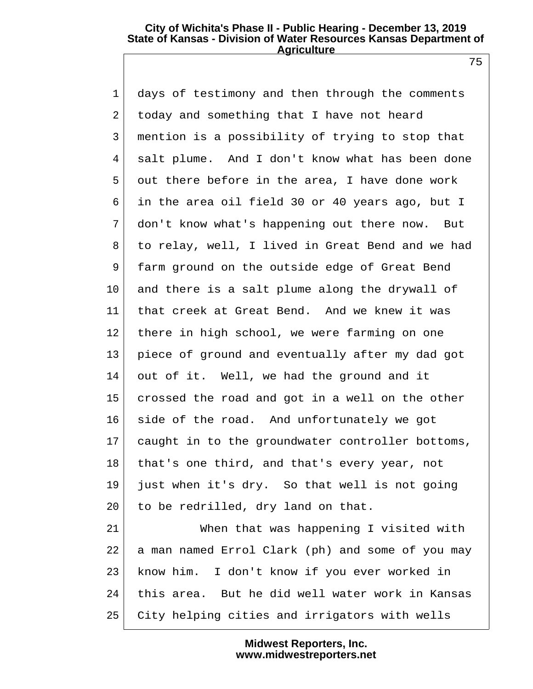75

| $\mathbf 1$    | days of testimony and then through the comments  |  |
|----------------|--------------------------------------------------|--|
| $\overline{2}$ | today and something that I have not heard        |  |
| 3              | mention is a possibility of trying to stop that  |  |
| 4              | salt plume. And I don't know what has been done  |  |
| 5              | out there before in the area, I have done work   |  |
| 6              | in the area oil field 30 or 40 years ago, but I  |  |
| 7              | don't know what's happening out there now. But   |  |
| 8              | to relay, well, I lived in Great Bend and we had |  |
| 9              | farm ground on the outside edge of Great Bend    |  |
| 10             | and there is a salt plume along the drywall of   |  |
| 11             | that creek at Great Bend. And we knew it was     |  |
| 12             | there in high school, we were farming on one     |  |
| 13             | piece of ground and eventually after my dad got  |  |
| 14             | out of it. Well, we had the ground and it        |  |
| 15             | crossed the road and got in a well on the other  |  |
| 16             | side of the road. And unfortunately we got       |  |
| 17             | caught in to the groundwater controller bottoms, |  |
| 18             | that's one third, and that's every year, not     |  |
| 19             | just when it's dry. So that well is not going    |  |
| 20             | to be redrilled, dry land on that.               |  |
| 21             | When that was happening I visited with           |  |
| 22             | a man named Errol Clark (ph) and some of you may |  |
| 23             | know him. I don't know if you ever worked in     |  |
| 24             | this area. But he did well water work in Kansas  |  |
| 25             | City helping cities and irrigators with wells    |  |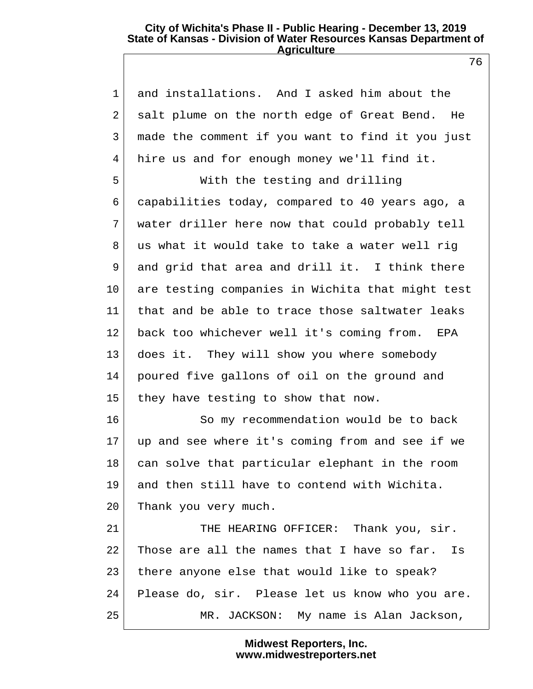76

| $\mathbf{1}$ | and installations. And I asked him about the     |
|--------------|--------------------------------------------------|
| 2            | salt plume on the north edge of Great Bend. He   |
| 3            | made the comment if you want to find it you just |
| 4            | hire us and for enough money we'll find it.      |
| 5            | With the testing and drilling                    |
| 6            | capabilities today, compared to 40 years ago, a  |
| 7            | water driller here now that could probably tell  |
| 8            | us what it would take to take a water well rig   |
| 9            | and grid that area and drill it. I think there   |
| $10 \,$      | are testing companies in Wichita that might test |
| 11           | that and be able to trace those saltwater leaks  |
| 12           | back too whichever well it's coming from.<br>EPA |
| 13           | does it. They will show you where somebody       |
| 14           | poured five gallons of oil on the ground and     |
| 15           | they have testing to show that now.              |
| 16           | So my recommendation would be to back            |
| 17           | up and see where it's coming from and see if we  |
| 18           | can solve that particular elephant in the room   |
| 19           | and then still have to contend with Wichita.     |
| 20           | Thank you very much.                             |
| 21           | THE HEARING OFFICER: Thank you, sir.             |
| 22           | Those are all the names that I have so far. Is   |
| 23           | there anyone else that would like to speak?      |
| 24           | Please do, sir. Please let us know who you are.  |
| 25           | MR. JACKSON: My name is Alan Jackson,            |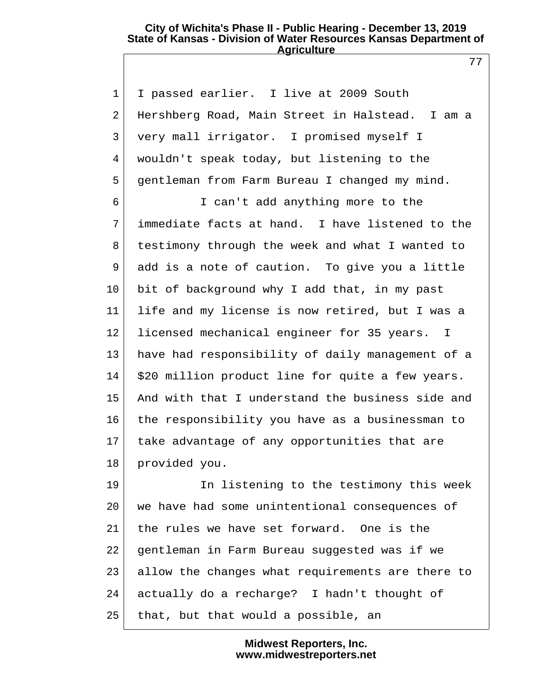1 I passed earlier. I live at 2009 South 2 Hershberg Road, Main Street in Halstead. I am a 3 very mall irrigator. I promised myself I 4 wouldn't speak today, but listening to the 5 gentleman from Farm Bureau I changed my mind. 6 I can't add anything more to the

 7 immediate facts at hand. I have listened to the 8 testimony through the week and what I wanted to 9 add is a note of caution. To give you a little 10 bit of background why I add that, in my past 11 life and my license is now retired, but I was a 12 licensed mechanical engineer for 35 years. I 13 have had responsibility of daily management of a 14 \$20 million product line for quite a few years. 15 And with that I understand the business side and 16 the responsibility you have as a businessman to 17 take advantage of any opportunities that are 18 provided you.

19 In listening to the testimony this week 20 we have had some unintentional consequences of 21 the rules we have set forward. One is the 22 gentleman in Farm Bureau suggested was if we 23 allow the changes what requirements are there to 24 actually do a recharge? I hadn't thought of  $25$  that, but that would a possible, an

> **Midwest Reporters, Inc. www.midwestreporters.net**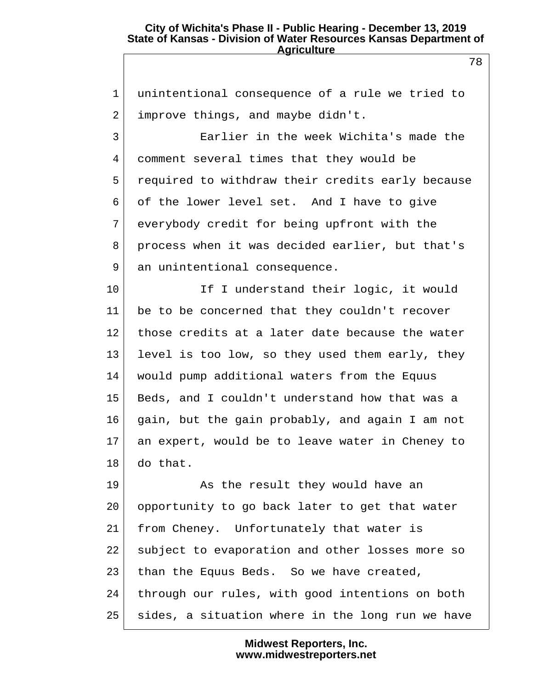1 unintentional consequence of a rule we tried to  $2$  improve things, and maybe didn't. 3 Earlier in the week Wichita's made the 4 comment several times that they would be 5 required to withdraw their credits early because 6 of the lower level set. And I have to give 7 everybody credit for being upfront with the 8 process when it was decided earlier, but that's 9 an unintentional consequence. 10 If I understand their logic, it would 11 be to be concerned that they couldn't recover 12 those credits at a later date because the water 13 level is too low, so they used them early, they 14 would pump additional waters from the Equus 15 Beds, and I couldn't understand how that was a 16 gain, but the gain probably, and again I am not 17 an expert, would be to leave water in Cheney to 18 do that. 19 As the result they would have an 20 opportunity to go back later to get that water 21 from Cheney. Unfortunately that water is 22 subject to evaporation and other losses more so 23 than the Equus Beds. So we have created, 24 through our rules, with good intentions on both

25 sides, a situation where in the long run we have

**Midwest Reporters, Inc. www.midwestreporters.net**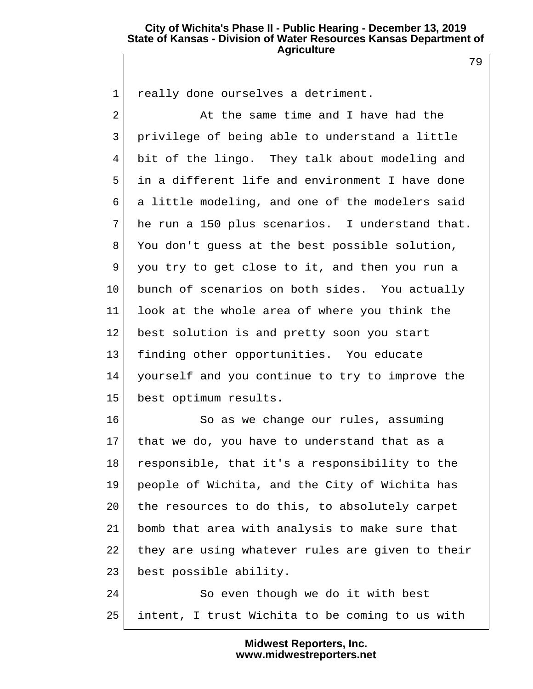79

 $2$   $\vert$  at the same time and I have had the 3 privilege of being able to understand a little

1 really done ourselves a detriment.

 4 bit of the lingo. They talk about modeling and 5 in a different life and environment I have done 6 a little modeling, and one of the modelers said 7 he run a 150 plus scenarios. I understand that. 8 You don't guess at the best possible solution, 9 you try to get close to it, and then you run a 10 bunch of scenarios on both sides. You actually 11 look at the whole area of where you think the 12 best solution is and pretty soon you start 13 finding other opportunities. You educate 14 yourself and you continue to try to improve the 15 best optimum results.

16 So as we change our rules, assuming 17 that we do, you have to understand that as a 18 responsible, that it's a responsibility to the 19 people of Wichita, and the City of Wichita has 20 the resources to do this, to absolutely carpet 21 bomb that area with analysis to make sure that 22 they are using whatever rules are given to their 23 best possible ability.

24 So even though we do it with best 25 intent, I trust Wichita to be coming to us with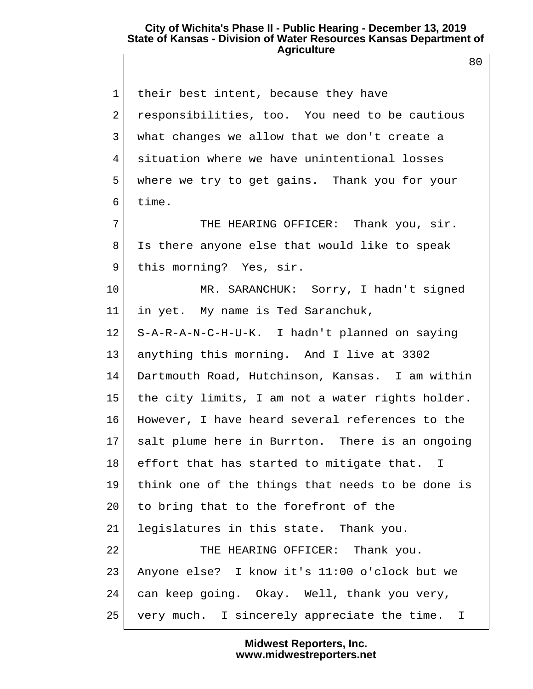80

| $\mathbf{1}$    | their best intent, because they have             |
|-----------------|--------------------------------------------------|
| 2               | responsibilities, too. You need to be cautious   |
| 3               | what changes we allow that we don't create a     |
| 4               | situation where we have unintentional losses     |
| 5               | where we try to get gains. Thank you for your    |
| 6               | time.                                            |
| 7               | THE HEARING OFFICER: Thank you, sir.             |
| 8               | Is there anyone else that would like to speak    |
| 9               | this morning? Yes, sir.                          |
| $10 \,$         | MR. SARANCHUK: Sorry, I hadn't signed            |
| 11              | in yet. My name is Ted Saranchuk,                |
| 12              | S-A-R-A-N-C-H-U-K. I hadn't planned on saying    |
| 13              | anything this morning. And I live at 3302        |
| 14              | Dartmouth Road, Hutchinson, Kansas. I am within  |
| 15 <sub>1</sub> | the city limits, I am not a water rights holder. |
| 16              | However, I have heard several references to the  |
| 17              | salt plume here in Burrton. There is an ongoing  |
| 18              | effort that has started to mitigate that. I      |
| 19              | think one of the things that needs to be done is |
| 20              | to bring that to the forefront of the            |
| 21              | legislatures in this state. Thank you.           |
| 22              | THE HEARING OFFICER: Thank you.                  |
| 23              | Anyone else? I know it's 11:00 o'clock but we    |
| 24              | can keep going. Okay. Well, thank you very,      |
| 25              | very much. I sincerely appreciate the time. I    |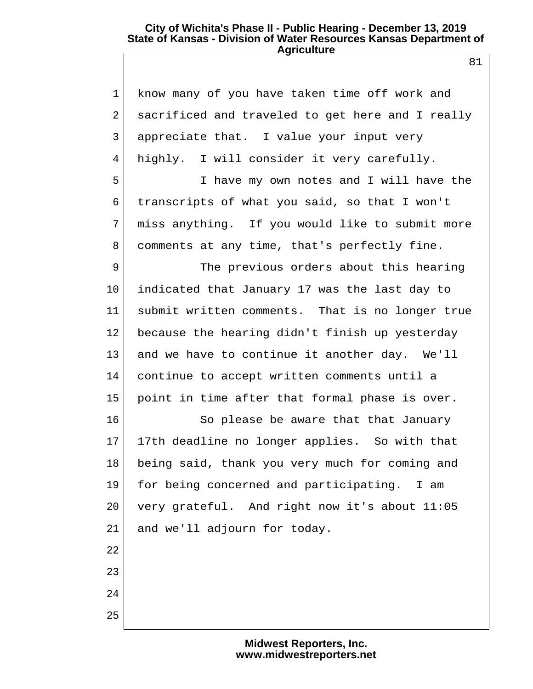| know many of you have taken time off work and       |
|-----------------------------------------------------|
| sacrificed and traveled to get here and I really    |
| appreciate that. I value your input very            |
| highly. I will consider it very carefully.          |
| I have my own notes and I will have the             |
| transcripts of what you said, so that I won't       |
| miss anything. If you would like to submit more     |
| comments at any time, that's perfectly fine.        |
| The previous orders about this hearing              |
| indicated that January 17 was the last day to       |
| submit written comments. That is no longer true     |
| because the hearing didn't finish up yesterday      |
| and we have to continue it another day. We'll       |
| continue to accept written comments until a         |
| point in time after that formal phase is over.      |
| So please be aware that that January                |
| 17<br>17th deadline no longer applies. So with that |
| being said, thank you very much for coming and      |
| for being concerned and participating. I am         |
| very grateful. And right now it's about 11:05       |
| and we'll adjourn for today.                        |
|                                                     |
|                                                     |
|                                                     |
|                                                     |
|                                                     |